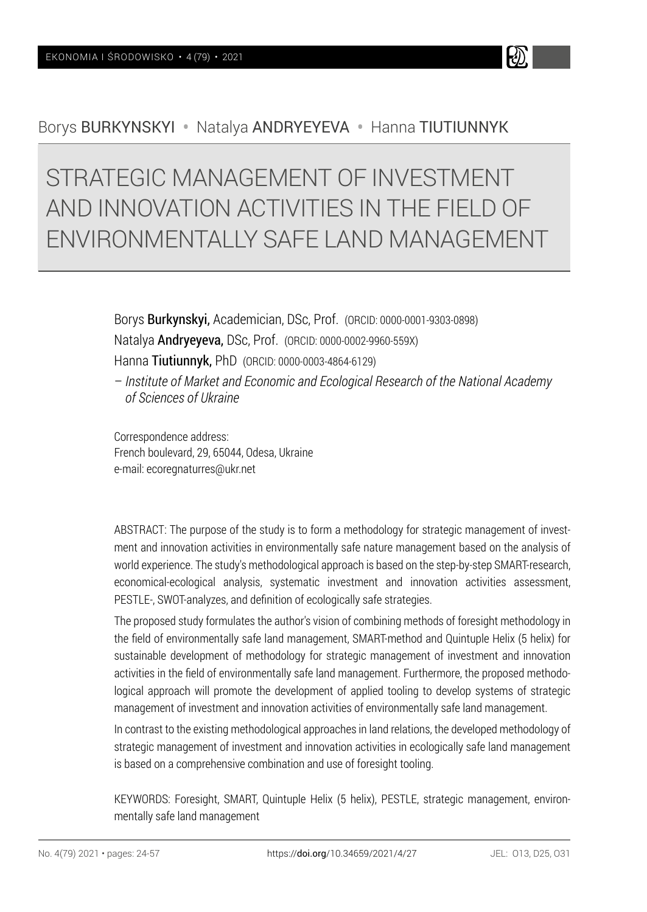

# STRATEGIC MANAGEMENT OF INVESTMENT AND INNOVATION ACTIVITIES IN THE FIELD OF ENVIRONMENTALLY SAFE LAND MANAGEMENT

Borys Burkynskyi, Academician, DSc, Prof. (ORCID: 0000-0001-9303-0898) Natalya Andryeyeva, DSc, Prof. (ORCID: 0000-0002-9960-559X) Hanna Tiutiunnyk, PhD (ORCID: 0000-0003-4864-6129) – *Institute of Market and Economic and Ecological Research of the National Academy* 

Correspondence address:

*of Sciences of Ukraine*

French boulevard, 29, 65044, Odesa, Ukraine e-mail: ecoregnaturres@ukr.net

ABSTRACT: The purpose of the study is to form a methodology for strategic management of investment and innovation activities in environmentally safe nature management based on the analysis of world experience. The study's methodological approach is based on the step-by-step SMART-research, economical-ecological analysis, systematic investment and innovation activities assessment, PESTLE-, SWOT-analyzes, and definition of ecologically safe strategies.

The proposed study formulates the author's vision of combining methods of foresight methodology in the field of environmentally safe land management, SMART-method and Quintuple Helix (5 helix) for sustainable development of methodology for strategic management of investment and innovation activities in the field of environmentally safe land management. Furthermore, the proposed methodological approach will promote the development of applied tooling to develop systems of strategic management of investment and innovation activities of environmentally safe land management.

In contrast to the existing methodological approaches in land relations, the developed methodology of strategic management of investment and innovation activities in ecologically safe land management is based on a comprehensive combination and use of foresight tooling.

KEYWORDS: Foresight, SMART, Quintuple Helix (5 helix), PESTLE, strategic management, environmentally safe land management

k)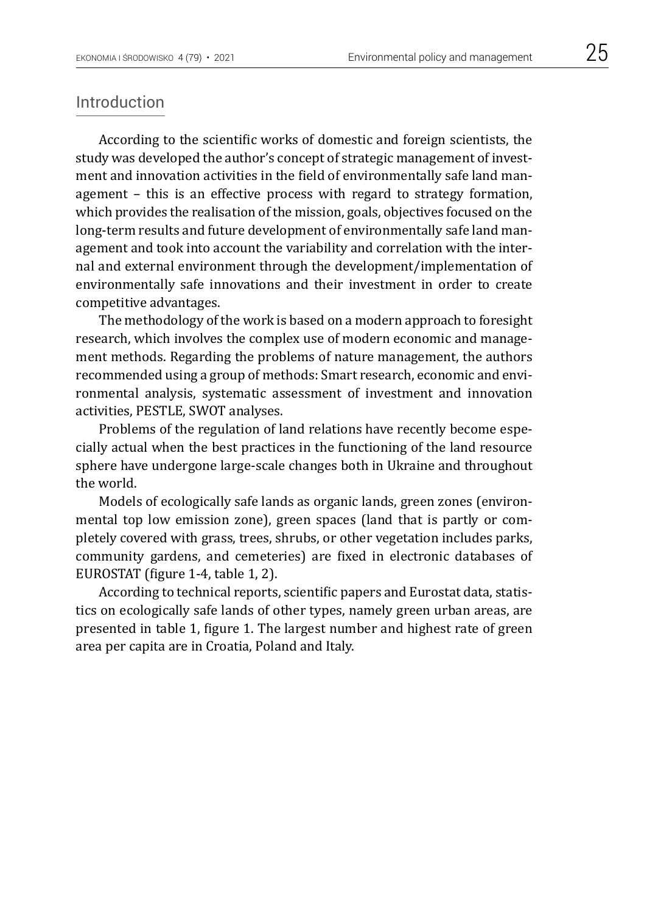### Introduction

According to the scientific works of domestic and foreign scientists, the study was developed the author's concept of strategic management of investment and innovation activities in the field of environmentally safe land management – this is an effective process with regard to strategy formation, which provides the realisation of the mission, goals, objectives focused on the long-term results and future development of environmentally safe land management and took into account the variability and correlation with the internal and external environment through the development/implementation of environmentally safe innovations and their investment in order to create competitive advantages.

The methodology of the work is based on a modern approach to foresight research, which involves the complex use of modern economic and management methods. Regarding the problems of nature management, the authors recommended using a group of methods: Smart research, economic and environmental analysis, systematic assessment of investment and innovation activities, PESTLE, SWOT analyses.

Problems of the regulation of land relations have recently become especially actual when the best practices in the functioning of the land resource sphere have undergone large-scale changes both in Ukraine and throughout the world.

Models of ecologically safe lands as organic lands, green zones (environmental top low emission zone), green spaces (land that is partly or completely covered with grass, trees, shrubs, or other vegetation includes parks, community gardens, and cemeteries) are fixed in electronic databases of EUROSTAT (figure 1-4, table 1, 2).

According to technical reports, scientific papers and Eurostat data, statistics on ecologically safe lands of other types, namely green urban areas, are presented in table 1, figure 1. The largest number and highest rate of green area per capita are in Croatia, Poland and Italy.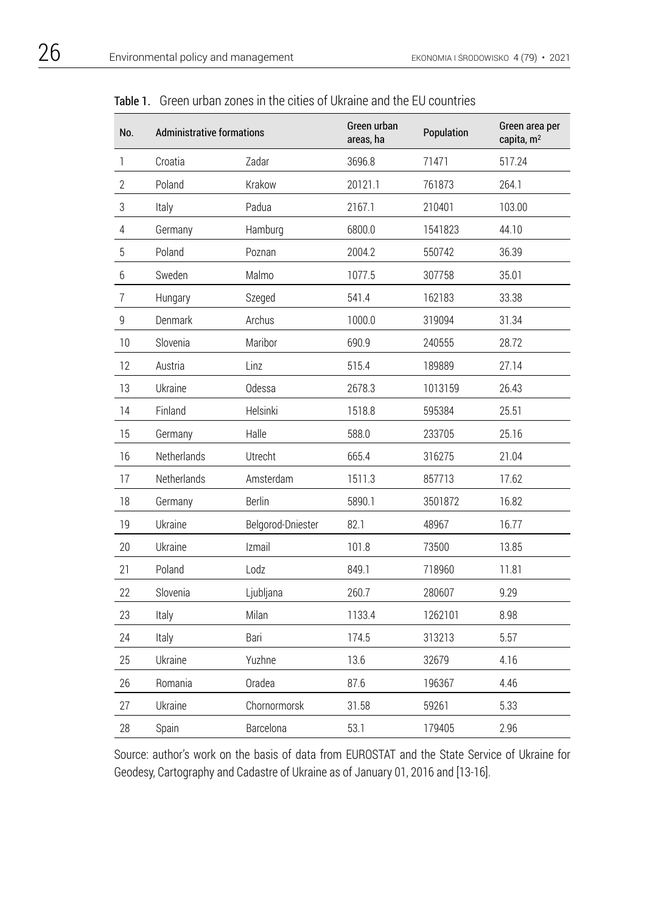| No.            | <b>Administrative formations</b> |                   | Green urban<br>areas, ha | Population | Green area per<br>capita, m <sup>2</sup> |
|----------------|----------------------------------|-------------------|--------------------------|------------|------------------------------------------|
| 1              | Croatia                          | Zadar             | 3696.8                   | 71471      | 517.24                                   |
| $\mathbf{2}$   | Poland                           | Krakow            | 20121.1                  | 761873     | 264.1                                    |
| 3              | Italy                            | Padua             | 2167.1                   | 210401     | 103.00                                   |
| 4              | Germany                          | Hamburg           | 6800.0                   | 1541823    | 44.10                                    |
| 5              | Poland                           | Poznan            | 2004.2                   | 550742     | 36.39                                    |
| 6              | Sweden                           | Malmo             | 1077.5                   | 307758     | 35.01                                    |
| $\overline{7}$ | Hungary                          | Szeged            | 541.4                    | 162183     | 33.38                                    |
| 9              | Denmark                          | Archus            | 1000.0                   | 319094     | 31.34                                    |
| 10             | Slovenia                         | Maribor           | 690.9                    | 240555     | 28.72                                    |
| 12             | Austria                          | Linz              | 515.4                    | 189889     | 27.14                                    |
| 13             | Ukraine                          | Odessa            | 2678.3                   | 1013159    | 26.43                                    |
| 14             | Finland                          | Helsinki          | 1518.8                   | 595384     | 25.51                                    |
| 15             | Germany                          | Halle             | 588.0                    | 233705     | 25.16                                    |
| 16             | Netherlands                      | Utrecht           | 665.4                    | 316275     | 21.04                                    |
| 17             | Netherlands                      | Amsterdam         | 1511.3                   | 857713     | 17.62                                    |
| 18             | Germany                          | <b>Berlin</b>     | 5890.1                   | 3501872    | 16.82                                    |
| 19             | Ukraine                          | Belgorod-Dniester | 82.1                     | 48967      | 16.77                                    |
| 20             | Ukraine                          | Izmail            | 101.8                    | 73500      | 13.85                                    |
| 21             | Poland                           | Lodz              | 849.1                    | 718960     | 11.81                                    |
| 22             | Slovenia                         | Ljubljana         | 260.7                    | 280607     | 9.29                                     |
| 23             | Italy                            | Milan             | 1133.4                   | 1262101    | 8.98                                     |
| 24             | Italy                            | Bari              | 174.5                    | 313213     | 5.57                                     |
| 25             | Ukraine                          | Yuzhne            | 13.6                     | 32679      | 4.16                                     |
| 26             | Romania                          | Oradea            | 87.6                     | 196367     | 4.46                                     |
| 27             | Ukraine                          | Chornormorsk      | 31.58                    | 59261      | 5.33                                     |
| 28             | Spain                            | Barcelona         | 53.1                     | 179405     | 2.96                                     |

Table 1. Green urban zones in the cities of Ukraine and the EU countries

Source: author's work on the basis of data from EUROSTAT and the State Service of Ukraine for Geodesy, Cartography and Cadastre of Ukraine as of January 01, 2016 and [13-16].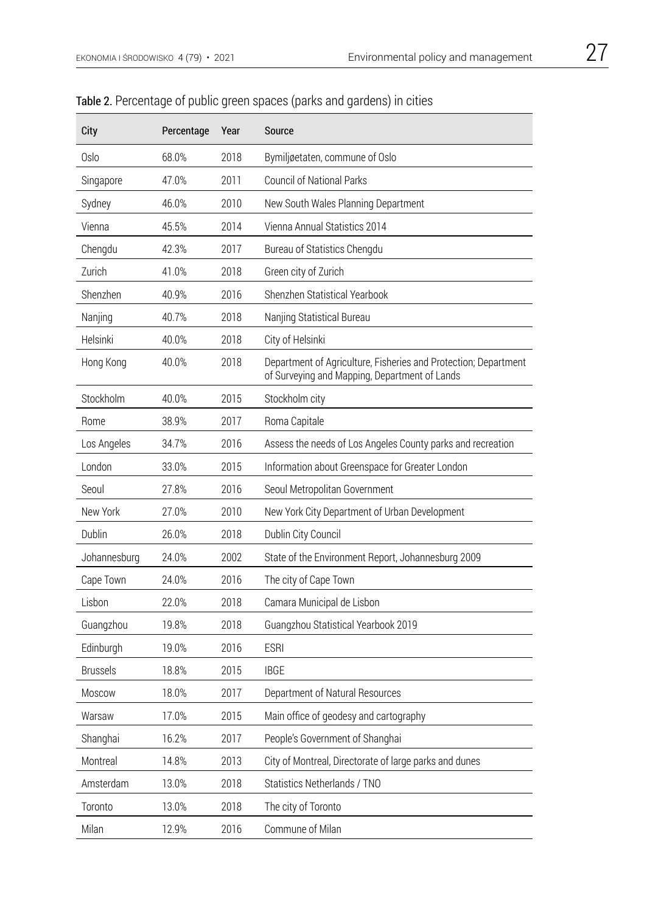| City         | Percentage | Year | Source                                                                                                           |
|--------------|------------|------|------------------------------------------------------------------------------------------------------------------|
| Oslo         | 68.0%      | 2018 | Bymiljøetaten, commune of Oslo                                                                                   |
| Singapore    | 47.0%      | 2011 | <b>Council of National Parks</b>                                                                                 |
| Sydney       | 46.0%      | 2010 | New South Wales Planning Department                                                                              |
| Vienna       | 45.5%      | 2014 | Vienna Annual Statistics 2014                                                                                    |
| Chengdu      | 42.3%      | 2017 | Bureau of Statistics Chengdu                                                                                     |
| Zurich       | 41.0%      | 2018 | Green city of Zurich                                                                                             |
| Shenzhen     | 40.9%      | 2016 | Shenzhen Statistical Yearbook                                                                                    |
| Nanjing      | 40.7%      | 2018 | Nanjing Statistical Bureau                                                                                       |
| Helsinki     | 40.0%      | 2018 | City of Helsinki                                                                                                 |
| Hong Kong    | 40.0%      | 2018 | Department of Agriculture, Fisheries and Protection; Department<br>of Surveying and Mapping, Department of Lands |
| Stockholm    | 40.0%      | 2015 | Stockholm city                                                                                                   |
| Rome         | 38.9%      | 2017 | Roma Capitale                                                                                                    |
| Los Angeles  | 34.7%      | 2016 | Assess the needs of Los Angeles County parks and recreation                                                      |
| London       | 33.0%      | 2015 | Information about Greenspace for Greater London                                                                  |
| Seoul        | 27.8%      | 2016 | Seoul Metropolitan Government                                                                                    |
| New York     | 27.0%      | 2010 | New York City Department of Urban Development                                                                    |
| Dublin       | 26.0%      | 2018 | Dublin City Council                                                                                              |
| Johannesburg | 24.0%      | 2002 | State of the Environment Report, Johannesburg 2009                                                               |
| Cape Town    | 24.0%      | 2016 | The city of Cape Town                                                                                            |
| Lisbon       | 22.0%      | 2018 | Camara Municipal de Lisbon                                                                                       |
| Guangzhou    | 19.8%      | 2018 | Guangzhou Statistical Yearbook 2019                                                                              |
| Edinburgh    | 19.0%      | 2016 | <b>ESRI</b>                                                                                                      |
| Brussels     | 18.8%      | 2015 | <b>IBGE</b>                                                                                                      |
| Moscow       | 18.0%      | 2017 | Department of Natural Resources                                                                                  |
| Warsaw       | 17.0%      | 2015 | Main office of geodesy and cartography                                                                           |
| Shanghai     | 16.2%      | 2017 | People's Government of Shanghai                                                                                  |
| Montreal     | 14.8%      | 2013 | City of Montreal, Directorate of large parks and dunes                                                           |
| Amsterdam    | 13.0%      | 2018 | Statistics Netherlands / TNO                                                                                     |
| Toronto      | 13.0%      | 2018 | The city of Toronto                                                                                              |
| Milan        | 12.9%      | 2016 | Commune of Milan                                                                                                 |

# Table 2. Percentage of public green spaces (parks and gardens) in cities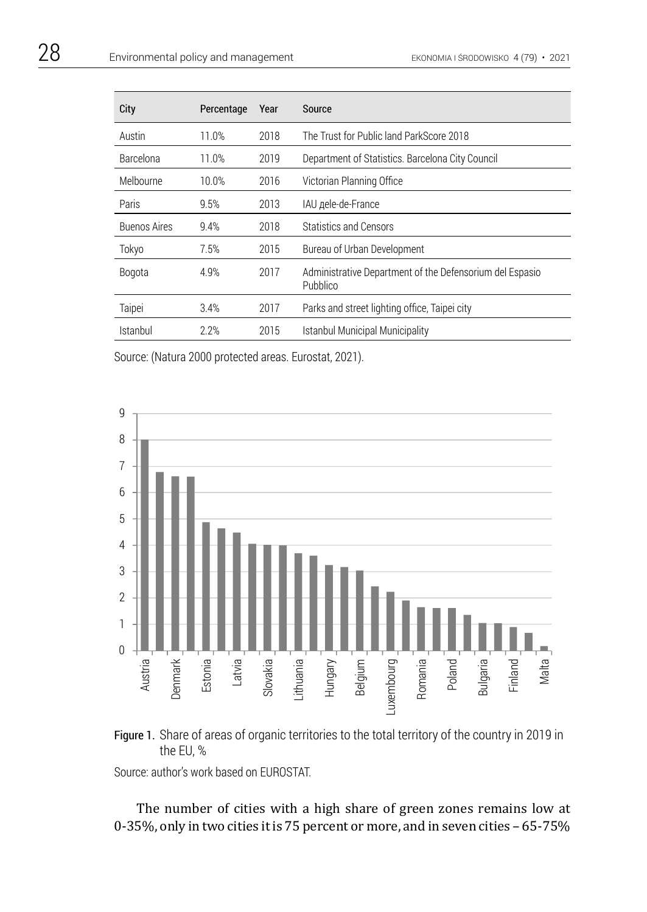| City                | Percentage | Year | Source                                                               |
|---------------------|------------|------|----------------------------------------------------------------------|
| Austin              | 11.0%      | 2018 | The Trust for Public land ParkScore 2018                             |
| Barcelona           | 11.0%      | 2019 | Department of Statistics. Barcelona City Council                     |
| Melbourne           | 10.0%      | 2016 | Victorian Planning Office                                            |
| Paris               | 9.5%       | 2013 | IAU деle-de-France                                                   |
| <b>Buenos Aires</b> | 9.4%       | 2018 | Statistics and Censors                                               |
| Tokyo               | 7.5%       | 2015 | Bureau of Urban Development                                          |
| Bogota              | 4.9%       | 2017 | Administrative Department of the Defensorium del Espasio<br>Pubblico |
| Taipei              | 3.4%       | 2017 | Parks and street lighting office. Taipei city                        |
| Istanbul            | 2.2%       | 2015 | Istanbul Municipal Municipality                                      |

Source: (Natura 2000 protected areas. Eurostat, 2021).





Source: author's work based on EUROSTAT.

The number of cities with a high share of green zones remains low at 0-35%, only in two cities it is 75 percent or more, and in seven cities – 65-75%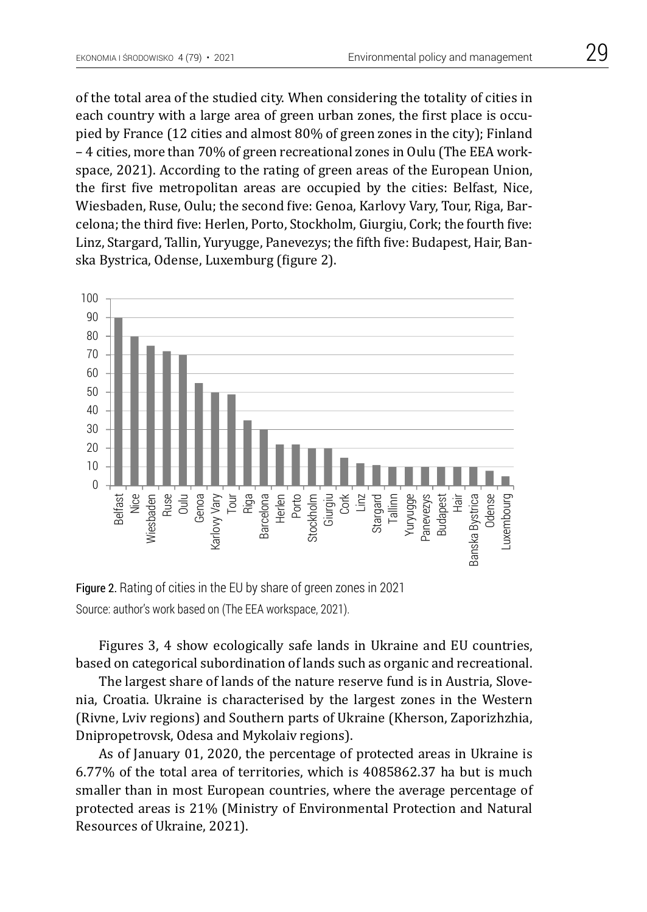of the total area of the studied city. When considering the totality of cities in each country with a large area of green urban zones, the first place is occupied by France (12 cities and almost 80% of green zones in the city); Finland – 4 cities, more than 70% of green recreational zones in Oulu (The EEA workspace, 2021). According to the rating of green areas of the European Union, the first five metropolitan areas are occupied by the cities: Belfast, Nice, Wiesbaden, Ruse, Oulu; the second five: Genoa, Karlovy Vary, Tour, Riga, Barcelona; the third five: Herlen, Porto, Stockholm, Giurgiu, Cork; the fourth five: Linz, Stargard, Tallin, Yuryugge, Panevezys; the fifth five: Budapest, Hair, Banska Bystrica, Odense, Luxemburg (figure 2).



Figure 2. Rating of cities in the EU by share of green zones in 2021 Source: author's work based on (The EEA workspace, 2021).

Figures 3, 4 show ecologically safe lands in Ukraine and EU countries, based on categorical subordination of lands such as organic and recreational.

The largest share of lands of the nature reserve fund is in Austria, Slovenia, Croatia. Ukraine is characterised by the largest zones in the Western (Rivne, Lviv regions) and Southern parts of Ukraine (Kherson, Zaporizhzhia, Dnipropetrovsk, Odesa and Mykolaiv regions).

As of January 01, 2020, the percentage of protected areas in Ukraine is 6.77% of the total area of territories, which is 4085862.37 ha but is much smaller than in most European countries, where the average percentage of protected areas is 21% (Ministry of Environmental Protection and Natural Resources of Ukraine, 2021).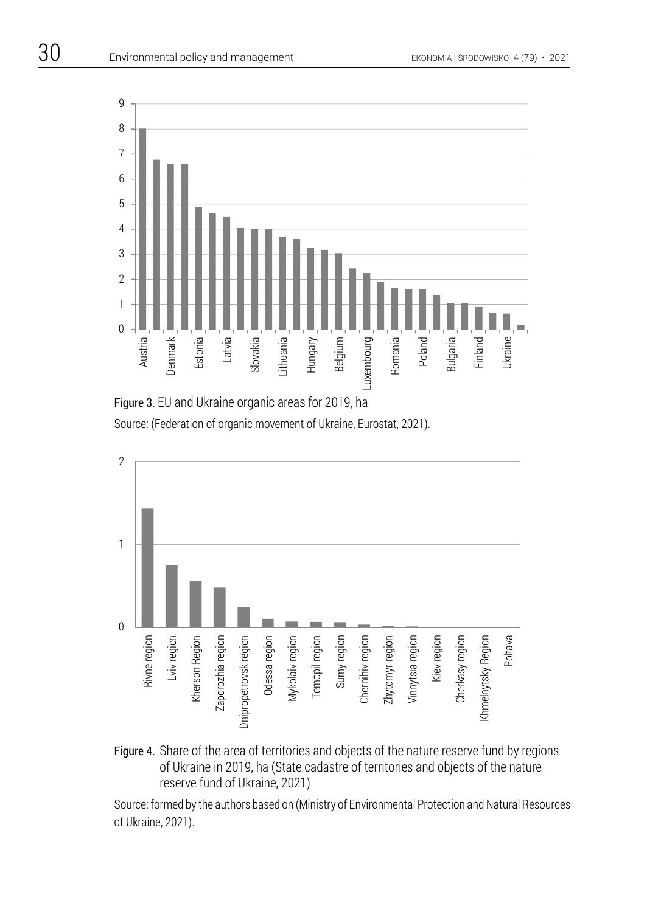

Figure 3. EU and Ukraine organic areas for 2019, ha Source: (Federation of organic movement of Ukraine, Eurostat, 2021).



Figure 4. Share of the area of territories and objects of the nature reserve fund by regions of Ukraine in 2019, ha (State cadastre of territories and objects of the nature reserve fund of Ukraine, 2021)

Source: formed by the authors based on (Ministry of Environmental Protection and Natural Resources of Ukraine, 2021).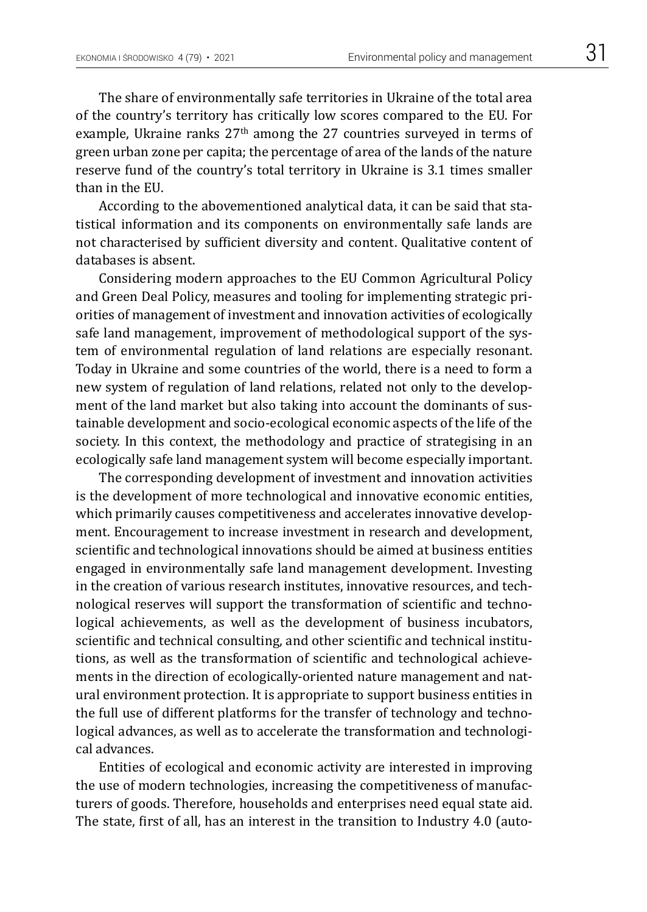The share of environmentally safe territories in Ukraine of the total area of the country's territory has critically low scores compared to the EU. For example, Ukraine ranks 27<sup>th</sup> among the 27 countries surveyed in terms of green urban zone per capita; the percentage of area of the lands of the nature reserve fund of the country's total territory in Ukraine is 3.1 times smaller than in the EU.

According to the abovementioned analytical data, it can be said that statistical information and its components on environmentally safe lands are not characterised by sufficient diversity and content. Qualitative content of databases is absent.

Considering modern approaches to the EU Common Agricultural Policy and Green Deal Policy, measures and tooling for implementing strategic priorities of management of investment and innovation activities of ecologically safe land management, improvement of methodological support of the system of environmental regulation of land relations are especially resonant. Today in Ukraine and some countries of the world, there is a need to form a new system of regulation of land relations, related not only to the development of the land market but also taking into account the dominants of sustainable development and socio-ecological economic aspects of the life of the society. In this context, the methodology and practice of strategising in an ecologically safe land management system will become especially important.

The corresponding development of investment and innovation activities is the development of more technological and innovative economic entities, which primarily causes competitiveness and accelerates innovative development. Encouragement to increase investment in research and development, scientific and technological innovations should be aimed at business entities engaged in environmentally safe land management development. Investing in the creation of various research institutes, innovative resources, and technological reserves will support the transformation of scientific and technological achievements, as well as the development of business incubators, scientific and technical consulting, and other scientific and technical institutions, as well as the transformation of scientific and technological achievements in the direction of ecologically-oriented nature management and natural environment protection. It is appropriate to support business entities in the full use of different platforms for the transfer of technology and technological advances, as well as to accelerate the transformation and technological advances.

Entities of ecological and economic activity are interested in improving the use of modern technologies, increasing the competitiveness of manufacturers of goods. Therefore, households and enterprises need equal state aid. The state, first of all, has an interest in the transition to Industry 4.0 (auto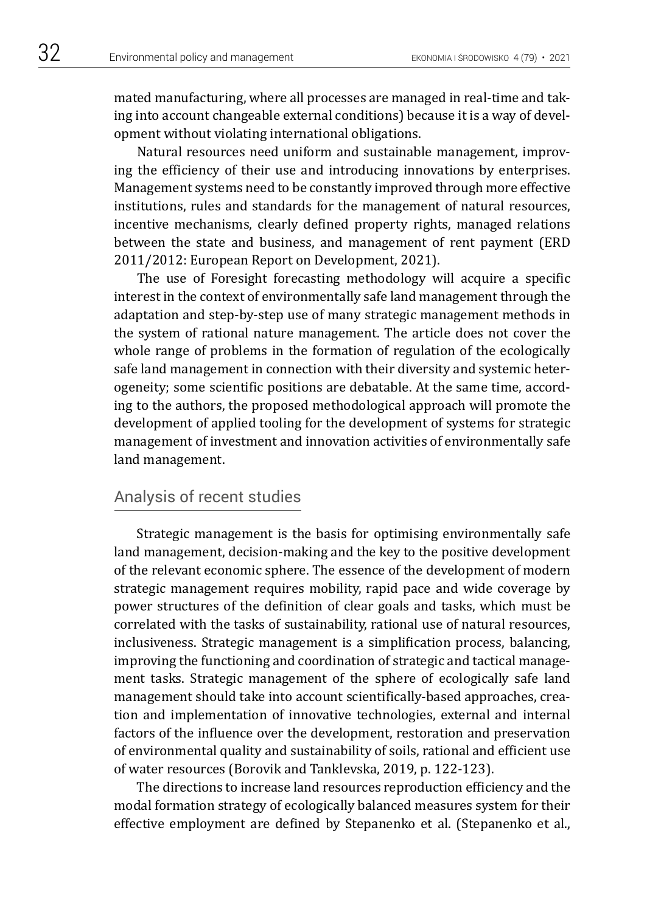mated manufacturing, where all processes are managed in real-time and taking into account changeable external conditions) because it is a way of development without violating international obligations.

Natural resources need uniform and sustainable management, improving the efficiency of their use and introducing innovations by enterprises. Management systems need to be constantly improved through more effective institutions, rules and standards for the management of natural resources, incentive mechanisms, clearly defined property rights, managed relations between the state and business, and management of rent payment (ERD 2011/2012: European Report on Development, 2021).

The use of Foresight forecasting methodology will acquire a specific interest in the context of environmentally safe land management through the adaptation and step-by-step use of many strategic management methods in the system of rational nature management. The article does not cover the whole range of problems in the formation of regulation of the ecologically safe land management in connection with their diversity and systemic heterogeneity; some scientific positions are debatable. At the same time, according to the authors, the proposed methodological approach will promote the development of applied tooling for the development of systems for strategic management of investment and innovation activities of environmentally safe land management.

# Analysis of recent studies

Strategic management is the basis for optimising environmentally safe land management, decision-making and the key to the positive development of the relevant economic sphere. The essence of the development of modern strategic management requires mobility, rapid pace and wide coverage by power structures of the definition of clear goals and tasks, which must be correlated with the tasks of sustainability, rational use of natural resources, inclusiveness. Strategic management is a simplification process, balancing, improving the functioning and coordination of strategic and tactical management tasks. Strategic management of the sphere of ecologically safe land management should take into account scientifically-based approaches, creation and implementation of innovative technologies, external and internal factors of the influence over the development, restoration and preservation of environmental quality and sustainability of soils, rational and efficient use of water resources (Borovik and Tanklevska, 2019, p. 122-123).

The directions to increase land resources reproduction efficiency and the modal formation strategy of ecologically balanced measures system for their effective employment are defined by Stepanenko et al. (Stepanenko et al.,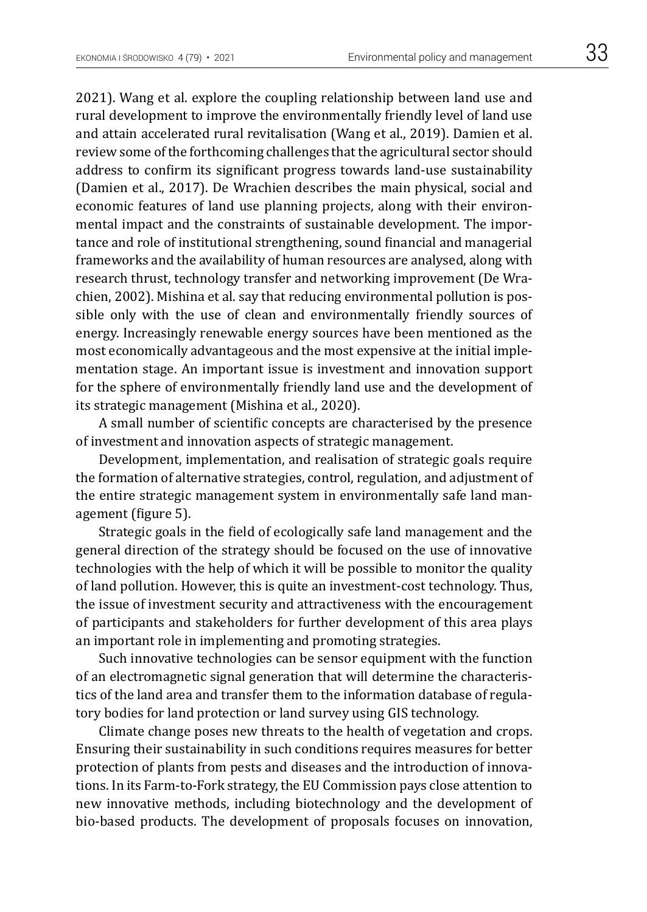2021). Wang et al. explore the coupling relationship between land use and rural development to improve the environmentally friendly level of land use and attain accelerated rural revitalisation (Wang et al., 2019). Damien et al. review some of the forthcoming challenges that the agricultural sector should address to confirm its significant progress towards land-use sustainability (Damien et al., 2017). De Wrachien describes the main physical, social and economic features of land use planning projects, along with their environmental impact and the constraints of sustainable development. The importance and role of institutional strengthening, sound financial and managerial frameworks and the availability of human resources are analysed, along with research thrust, technology transfer and networking improvement (De Wrachien, 2002). Mishina et al. say that reducing environmental pollution is possible only with the use of clean and environmentally friendly sources of energy. Increasingly renewable energy sources have been mentioned as the most economically advantageous and the most expensive at the initial implementation stage. An important issue is investment and innovation support for the sphere of environmentally friendly land use and the development of its strategic management (Mishina et al., 2020).

A small number of scientific concepts are characterised by the presence of investment and innovation aspects of strategic management.

Development, implementation, and realisation of strategic goals require the formation of alternative strategies, control, regulation, and adjustment of the entire strategic management system in environmentally safe land management (figure 5).

Strategic goals in the field of ecologically safe land management and the general direction of the strategy should be focused on the use of innovative technologies with the help of which it will be possible to monitor the quality of land pollution. However, this is quite an investment-cost technology. Thus, the issue of investment security and attractiveness with the encouragement of participants and stakeholders for further development of this area plays an important role in implementing and promoting strategies.

Such innovative technologies can be sensor equipment with the function of an electromagnetic signal generation that will determine the characteristics of the land area and transfer them to the information database of regulatory bodies for land protection or land survey using GIS technology.

Climate change poses new threats to the health of vegetation and crops. Ensuring their sustainability in such conditions requires measures for better protection of plants from pests and diseases and the introduction of innovations. In its Farm-to-Fork strategy, the EU Commission pays close attention to new innovative methods, including biotechnology and the development of bio-based products. The development of proposals focuses on innovation,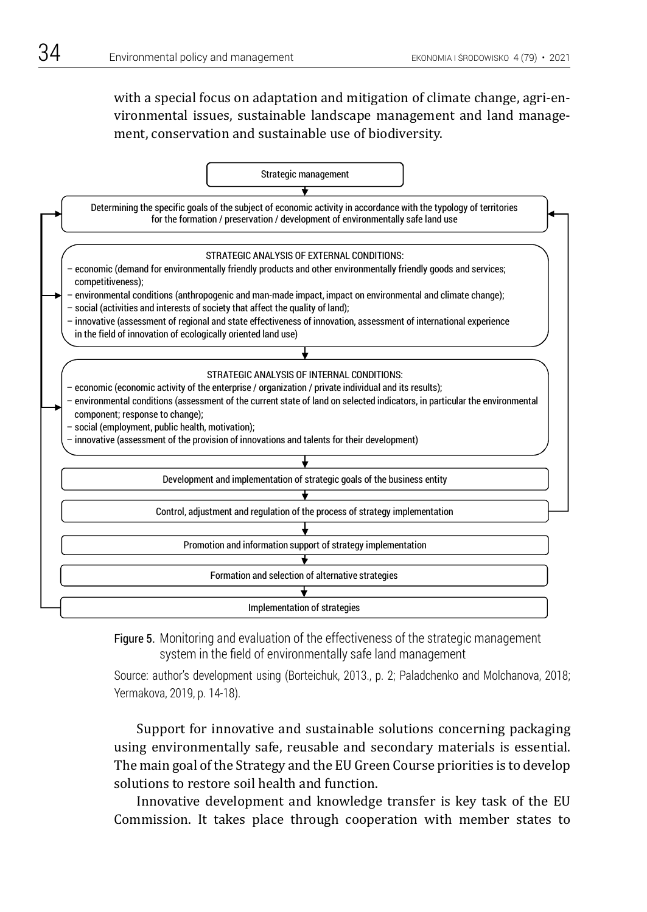with a special focus on adaptation and mitigation of climate change, agri-environmental issues, sustainable landscape management and land management, conservation and sustainable use of biodiversity.



Figure 5. Monitoring and evaluation of the effectiveness of the strategic management system in the field of environmentally safe land management

Source: author's development using (Borteichuk, 2013., p. 2; Paladchenko and Molchanova, 2018; Yermakova, 2019, p. 14-18).

> Support for innovative and sustainable solutions concerning packaging using environmentally safe, reusable and secondary materials is essential. The main goal of the Strategy and the EU Green Course priorities is to develop solutions to restore soil health and function.

> Innovative development and knowledge transfer is key task of the EU Commission. It takes place through cooperation with member states to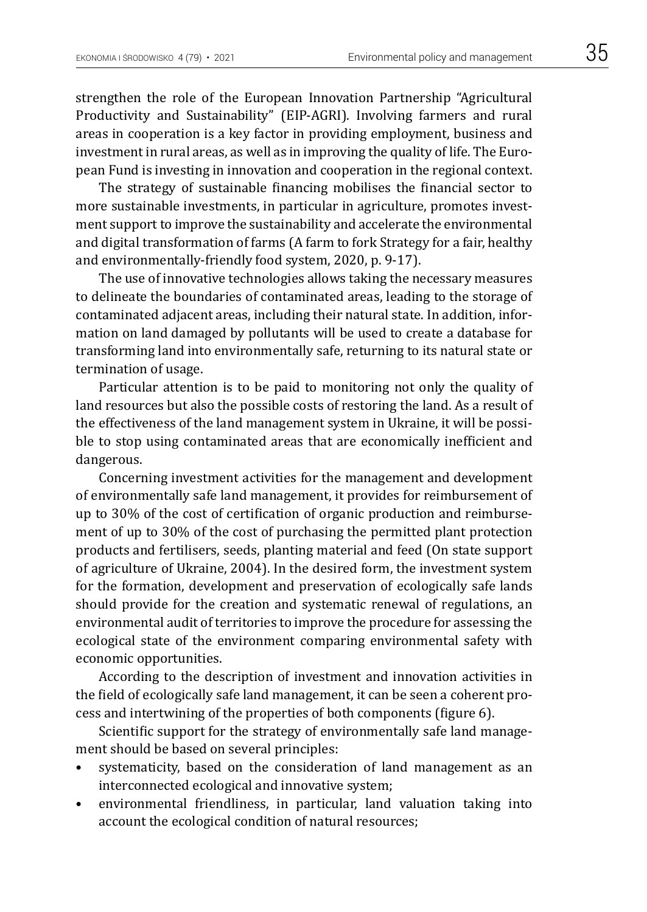strengthen the role of the European Innovation Partnership "Agricultural Productivity and Sustainability" (EIP-AGRI). Involving farmers and rural areas in cooperation is a key factor in providing employment, business and investment in rural areas, as well as in improving the quality of life. The European Fund is investing in innovation and cooperation in the regional context.

The strategy of sustainable financing mobilises the financial sector to more sustainable investments, in particular in agriculture, promotes investment support to improve the sustainability and accelerate the environmental and digital transformation of farms (A farm to fork Strategy for a fair, healthy and environmentally-friendly food system, 2020, p. 9-17).

The use of innovative technologies allows taking the necessary measures to delineate the boundaries of contaminated areas, leading to the storage of contaminated adjacent areas, including their natural state. In addition, information on land damaged by pollutants will be used to create a database for transforming land into environmentally safe, returning to its natural state or termination of usage.

Particular attention is to be paid to monitoring not only the quality of land resources but also the possible costs of restoring the land. As a result of the effectiveness of the land management system in Ukraine, it will be possible to stop using contaminated areas that are economically inefficient and dangerous.

Concerning investment activities for the management and development of environmentally safe land management, it provides for reimbursement of up to 30% of the cost of certification of organic production and reimbursement of up to 30% of the cost of purchasing the permitted plant protection products and fertilisers, seeds, planting material and feed (On state support of agriculture of Ukraine, 2004). In the desired form, the investment system for the formation, development and preservation of ecologically safe lands should provide for the creation and systematic renewal of regulations, an environmental audit of territories to improve the procedure for assessing the ecological state of the environment comparing environmental safety with economic opportunities.

According to the description of investment and innovation activities in the field of ecologically safe land management, it can be seen a coherent process and intertwining of the properties of both components (figure 6).

Scientific support for the strategy of environmentally safe land management should be based on several principles:

- systematicity, based on the consideration of land management as an interconnected ecological and innovative system;
- environmental friendliness, in particular, land valuation taking into account the ecological condition of natural resources;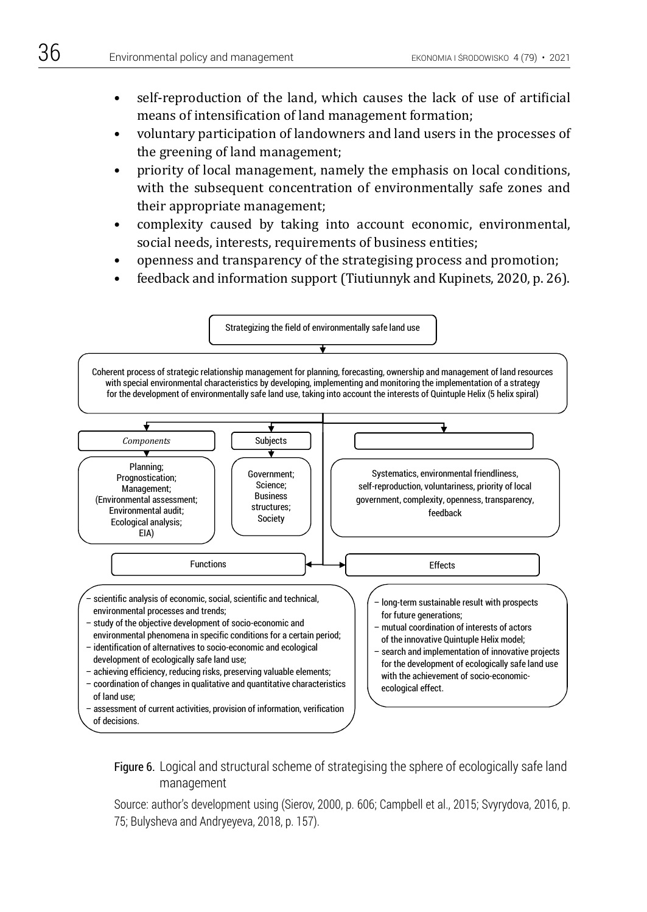- self-reproduction of the land, which causes the lack of use of artificial means of intensification of land management formation;
- voluntary participation of landowners and land users in the processes of the greening of land management;
- priority of local management, namely the emphasis on local conditions, with the subsequent concentration of environmentally safe zones and their appropriate management;
- complexity caused by taking into account economic, environmental, social needs, interests, requirements of business entities;
- openness and transparency of the strategising process and promotion;
- feedback and information support (Tiutiunnyk and Kupinets, 2020, p. 26).



Figure 6. Logical and structural scheme of strategising the sphere of ecologically safe land management Figure 6. Logical and structural scheme of structural scheme of strategisting the sphere of ecological safe land

Source: author's development using (Sierov, 2000, p. 606; Campbell et al., 2015; Svyrydova, 2016, p. 75; Bulysheva and Andryeyeva, 2018, p. 157).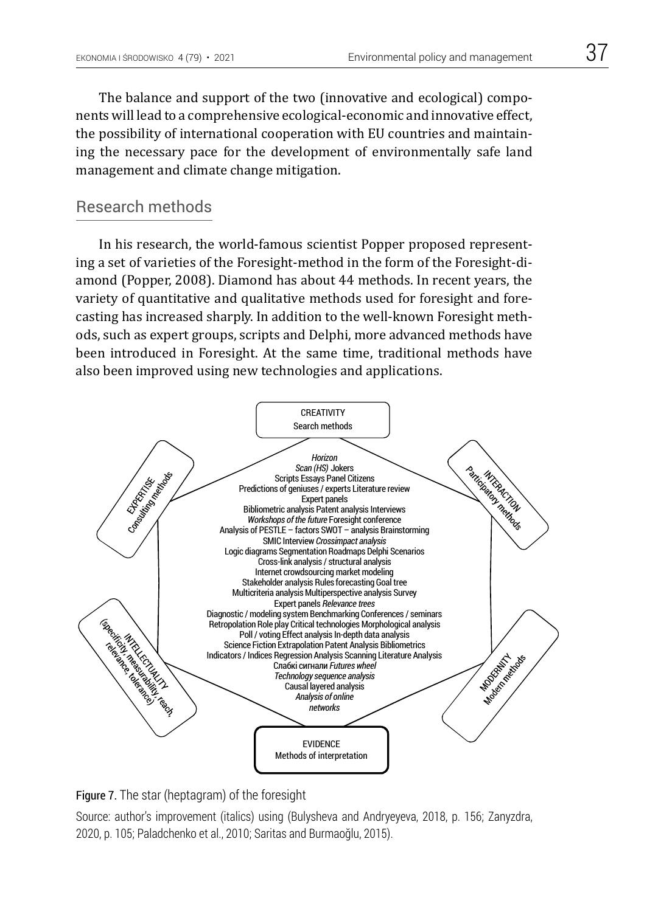The balance and support of the two (innovative and ecological) components will lead to a comprehensive ecological-economic and innovative effect, the possibility of international cooperation with EU countries and maintaining the necessary pace for the development of environmentally safe land management and climate change mitigation.

## Research methods

In his research, the world-famous scientist Popper proposed representing a set of varieties of the Foresight-method in the form of the Foresight-diamond (Popper, 2008). Diamond has about 44 methods. In recent years, the variety of quantitative and qualitative methods used for foresight and forecasting has increased sharply. In addition to the well-known Foresight methods, such as expert groups, scripts and Delphi, more advanced methods have been introduced in Foresight. At the same time, traditional methods have also been improved using new technologies and applications.



Figure 7. The star (heptagram) of the foresight Figure 7.

Source: author's improvement (italics) using (Bulysheva and Andryeyeva, 2018, p. 156; Zanyzdra, 2020, p. 105; Paladchenko et al., 2010; Saritas and Burmaoğlu, 2015).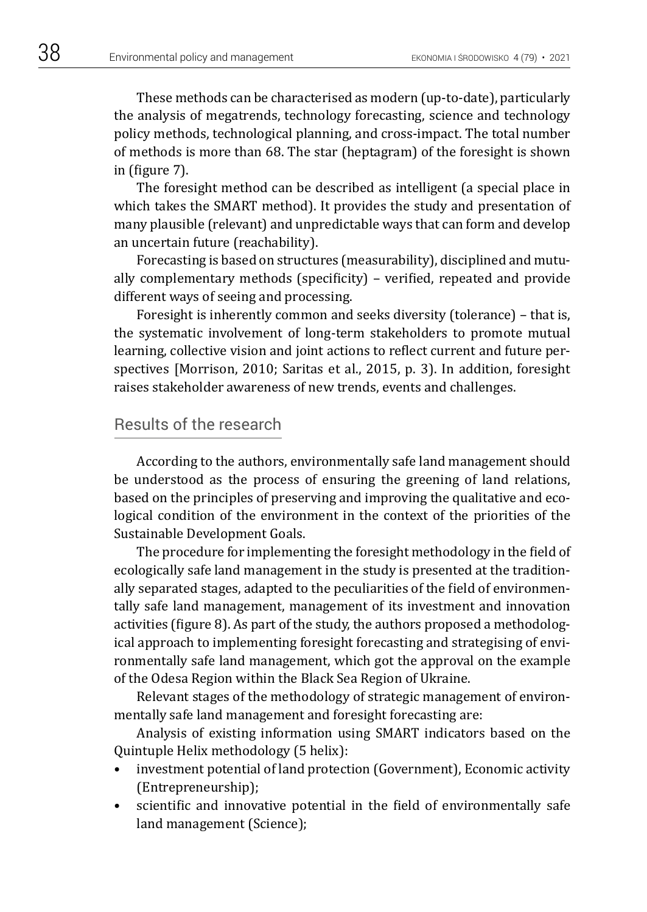These methods can be characterised as modern (up-to-date), particularly the analysis of megatrends, technology forecasting, science and technology policy methods, technological planning, and cross-impact. The total number of methods is more than 68. The star (heptagram) of the foresight is shown in (figure 7).

The foresight method can be described as intelligent (a special place in which takes the SMART method). It provides the study and presentation of many plausible (relevant) and unpredictable ways that can form and develop an uncertain future (reachability).

Forecasting is based on structures (measurability), disciplined and mutually complementary methods (specificity) – verified, repeated and provide different ways of seeing and processing.

Foresight is inherently common and seeks diversity (tolerance) – that is, the systematic involvement of long-term stakeholders to promote mutual learning, collective vision and joint actions to reflect current and future perspectives [Morrison, 2010; Saritas et al., 2015, p. 3). In addition, foresight raises stakeholder awareness of new trends, events and challenges.

### Results of the research

According to the authors, environmentally safe land management should be understood as the process of ensuring the greening of land relations, based on the principles of preserving and improving the qualitative and ecological condition of the environment in the context of the priorities of the Sustainable Development Goals.

The procedure for implementing the foresight methodology in the field of ecologically safe land management in the study is presented at the traditionally separated stages, adapted to the peculiarities of the field of environmentally safe land management, management of its investment and innovation activities (figure 8). As part of the study, the authors proposed a methodological approach to implementing foresight forecasting and strategising of environmentally safe land management, which got the approval on the example of the Odesa Region within the Black Sea Region of Ukraine.

Relevant stages of the methodology of strategic management of environmentally safe land management and foresight forecasting are:

Analysis of existing information using SMART indicators based on the Quintuple Helix methodology (5 helix):

- investment potential of land protection (Government), Economic activity (Entrepreneurship);
- scientific and innovative potential in the field of environmentally safe land management (Science);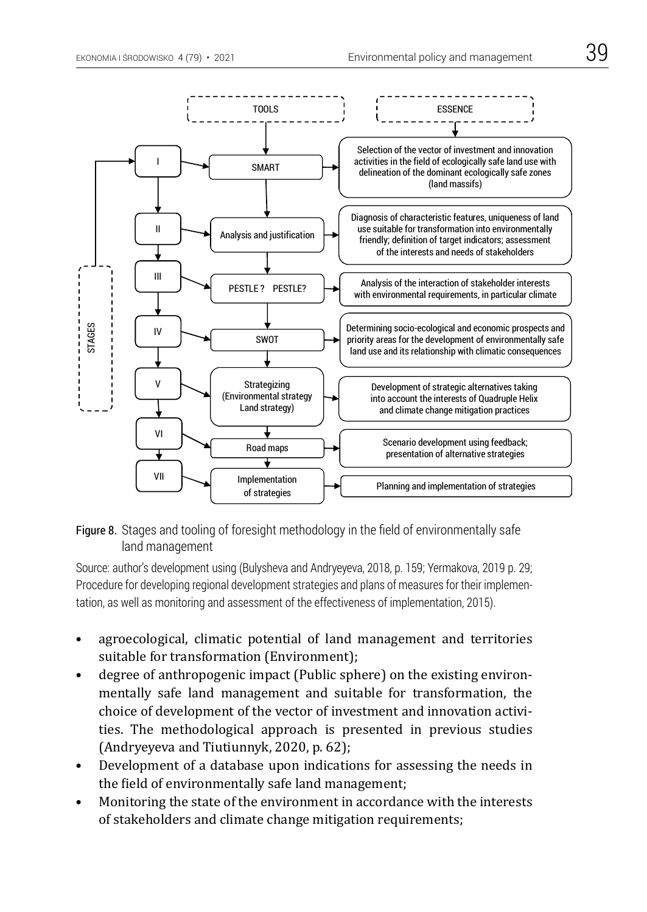



Source: author's development using (Bulysheva and Andryeyeva, 2018, p. 159; Yermakova, 2019 p. 29; Procedure for developing regional development strategies and plans of measures for their implementation, as well as monitoring and assessment of the effectiveness of implementation, 2015).

- agroecological, climatic potential of land management and territories suitable for transformation (Environment);
- degree of anthropogenic impact (Public sphere) on the existing environmentally safe land management and suitable for transformation, the choice of development of the vector of investment and innovation activities. The methodological approach is presented in previous studies (Andryeyeva and Tiutiunnyk, 2020, p. 62);
- Development of a database upon indications for assessing the needs in the field of environmentally safe land management;
- Monitoring the state of the environment in accordance with the interests of stakeholders and climate change mitigation requirements;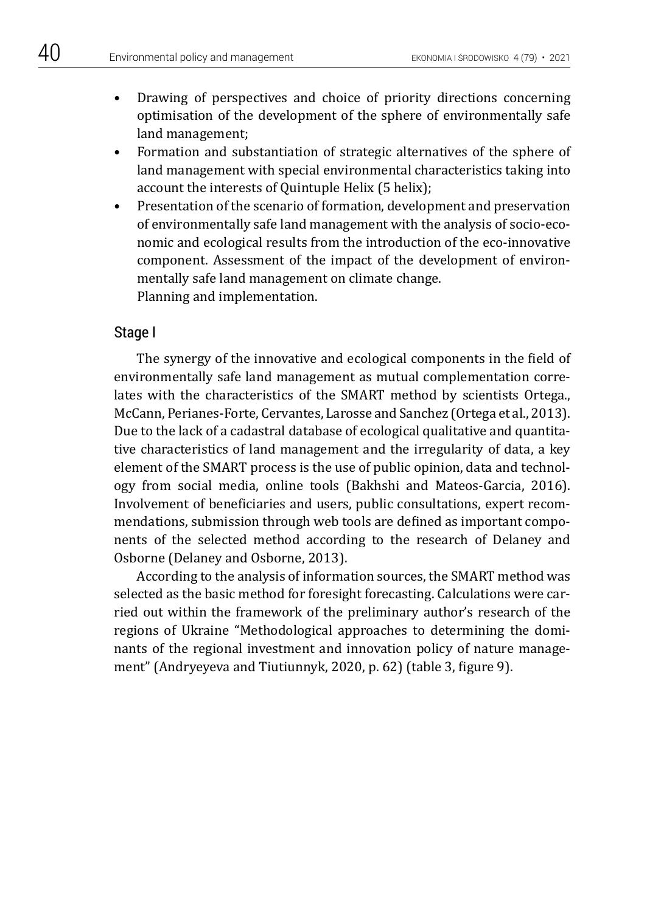- Drawing of perspectives and choice of priority directions concerning optimisation of the development of the sphere of environmentally safe land management;
- Formation and substantiation of strategic alternatives of the sphere of land management with special environmental characteristics taking into account the interests of Quintuple Helix (5 helix);
- Presentation of the scenario of formation, development and preservation of environmentally safe land management with the analysis of socio-economic and ecological results from the introduction of the eco-innovative component. Assessment of the impact of the development of environmentally safe land management on climate change. Planning and implementation.

### Stage I

The synergy of the innovative and ecological components in the field of environmentally safe land management as mutual complementation correlates with the characteristics of the SMART method by scientists Ortega., McCann, Perianes-Forte, Cervantes, Larosse and Sanchez (Ortega et al., 2013). Due to the lack of a cadastral database of ecological qualitative and quantitative characteristics of land management and the irregularity of data, a key element of the SMART process is the use of public opinion, data and technology from social media, online tools (Bakhshi and Mateos-Garcia, 2016). Involvement of beneficiaries and users, public consultations, expert recommendations, submission through web tools are defined as important components of the selected method according to the research of Delaney and Osborne (Delaney and Osborne, 2013).

According to the analysis of information sources, the SMART method was selected as the basic method for foresight forecasting. Calculations were carried out within the framework of the preliminary author's research of the regions of Ukraine "Methodological approaches to determining the dominants of the regional investment and innovation policy of nature management" (Andryeyeva and Tiutiunnyk, 2020, p. 62) (table 3, figure 9).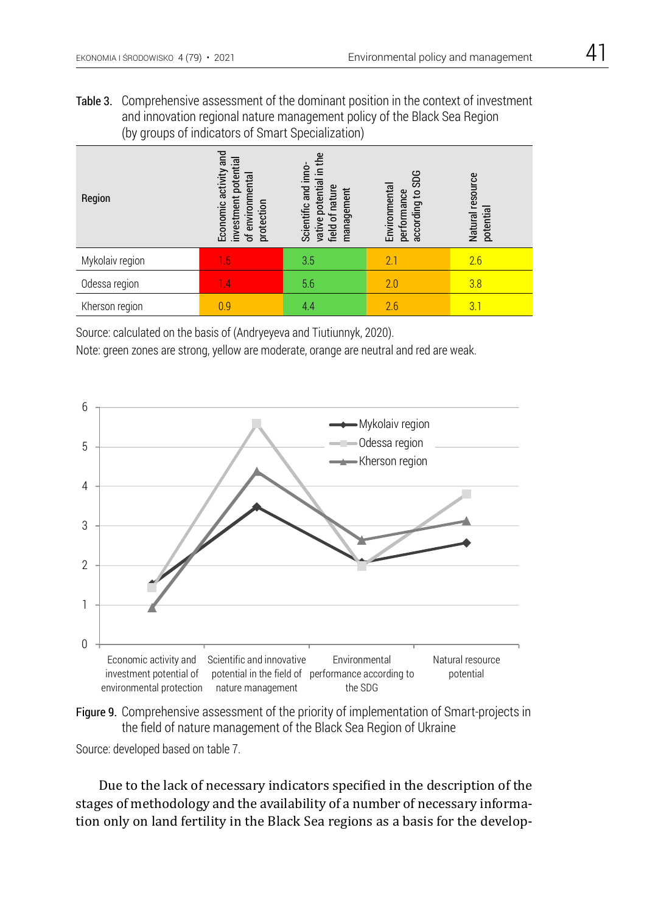Table 3. Comprehensive assessment of the dominant position in the context of investment and innovation regional nature management policy of the Black Sea Region (by groups of indicators of Smart Specialization)

| Region          | Economic activity and<br>investment potential<br>of environmental<br>protection | in the<br>Scientific and inno<br>potential<br>vative potentia<br>field of nature<br>management | according to SDG<br>Environmental<br>performance | Natural resource<br>potential |
|-----------------|---------------------------------------------------------------------------------|------------------------------------------------------------------------------------------------|--------------------------------------------------|-------------------------------|
| Mykolaiv region | 1.5                                                                             | 3.5                                                                                            | 2.1                                              | 2.6                           |
| Odessa region   | 1.4                                                                             | 5.6                                                                                            | 2.0                                              | 3.8                           |
| Kherson region  | 0.9                                                                             | 4.4                                                                                            | 2.6                                              | 3.1                           |

Source: calculated on the basis of (Andryeyeva and Tiutiunnyk, 2020).

Note: green zones are strong, yellow are moderate, orange are neutral and red are weak.





Source: developed based on table 7.

Due to the lack of necessary indicators specified in the description of the stages of methodology and the availability of a number of necessary information only on land fertility in the Black Sea regions as a basis for the develop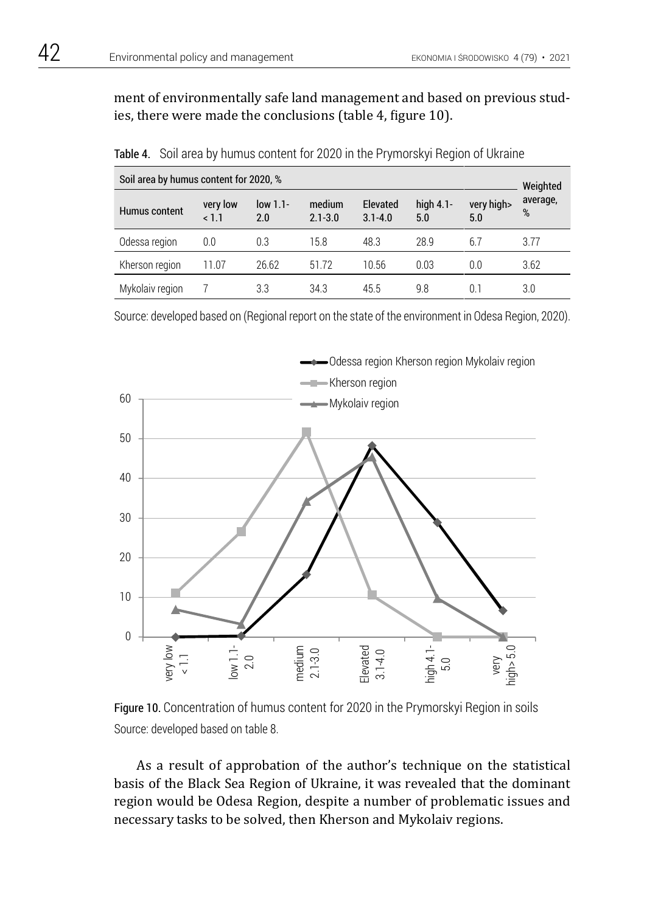ment of environmentally safe land management and based on previous studies, there were made the conclusions (table 4, figure 10).

| Soil area by humus content for 2020, %<br>Weighted |                 |                   |                       |                         |                     |                   |               |
|----------------------------------------------------|-----------------|-------------------|-----------------------|-------------------------|---------------------|-------------------|---------------|
| Humus content                                      | very low<br>1.1 | $low 1.1-$<br>2.0 | medium<br>$2.1 - 3.0$ | Elevated<br>$3.1 - 4.0$ | high $4.1$ -<br>5.0 | very high><br>5.0 | average,<br>% |
| Odessa region                                      | 0.0             | 0.3               | 15.8                  | 48.3                    | 28.9                | 6.7               | 3.77          |
| Kherson region                                     | 11.07           | 26.62             | 51.72                 | 10.56                   | 0.03                | 0.0               | 3.62          |
| Mykolaiv region                                    |                 | 3.3               | 34.3                  | 45.5                    | 9.8                 | 0.1               | 3.0           |

Table 4. Soil area by humus content for 2020 in the Prymorskyi Region of Ukraine

Source: developed based on (Regional report on the state of the environment in Odesa Region, 2020).



Figure 10. Concentration of humus content for 2020 in the Prymorskyi Region in soils Source: developed based on table 8.

As a result of approbation of the author's technique on the statistical basis of the Black Sea Region of Ukraine, it was revealed that the dominant region would be Odesa Region, despite a number of problematic issues and necessary tasks to be solved, then Kherson and Mykolaiv regions.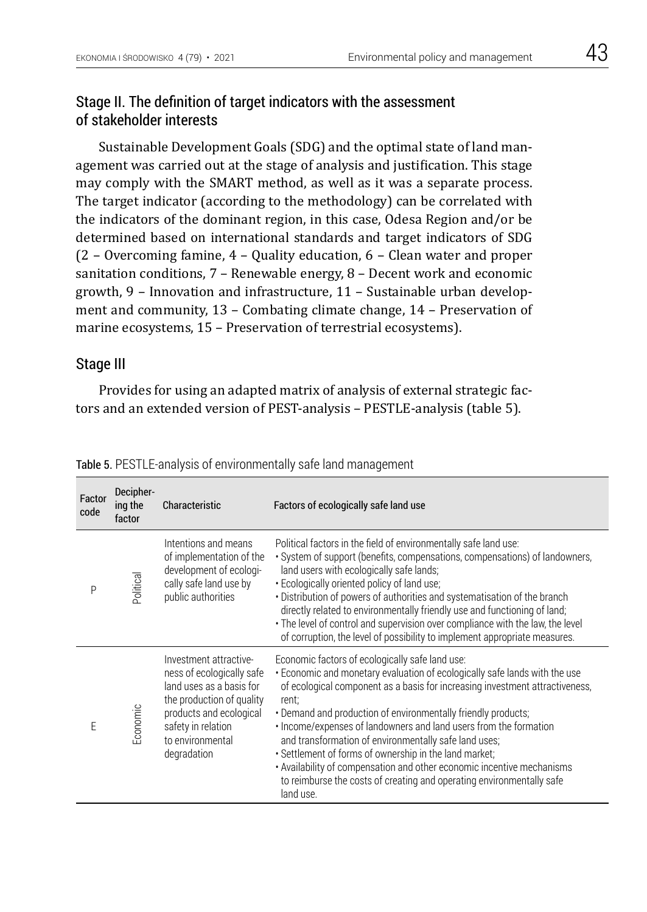### Stage II. The definition of target indicators with the assessment of stakeholder interests

Sustainable Development Goals (SDG) and the optimal state of land management was carried out at the stage of analysis and justification. This stage may comply with the SMART method, as well as it was a separate process. The target indicator (according to the methodology) can be correlated with the indicators of the dominant region, in this case, Odesa Region and/or be determined based on international standards and target indicators of SDG (2 – Overcoming famine, 4 – Quality education, 6 – Clean water and proper sanitation conditions, 7 – Renewable energy, 8 – Decent work and economic growth, 9 – Innovation and infrastructure, 11 – Sustainable urban development and community, 13 – Combating climate change, 14 – Preservation of marine ecosystems, 15 – Preservation of terrestrial ecosystems).

### Stage III

Provides for using an adapted matrix of analysis of external strategic factors and an extended version of PEST-analysis – PESTLE-analysis (table 5).

| Factor<br>code | Decipher-<br>ing the<br>factor | Characteristic                                                                                                                                                                                   | Factors of ecologically safe land use                                                                                                                                                                                                                                                                                                                                                                                                                                                                                                                                                                                                           |
|----------------|--------------------------------|--------------------------------------------------------------------------------------------------------------------------------------------------------------------------------------------------|-------------------------------------------------------------------------------------------------------------------------------------------------------------------------------------------------------------------------------------------------------------------------------------------------------------------------------------------------------------------------------------------------------------------------------------------------------------------------------------------------------------------------------------------------------------------------------------------------------------------------------------------------|
| P              | Political                      | Intentions and means<br>of implementation of the<br>development of ecologi-<br>cally safe land use by<br>public authorities                                                                      | Political factors in the field of environmentally safe land use:<br>• System of support (benefits, compensations, compensations) of landowners,<br>land users with ecologically safe lands;<br>· Ecologically oriented policy of land use;<br>· Distribution of powers of authorities and systematisation of the branch<br>directly related to environmentally friendly use and functioning of land;<br>· The level of control and supervision over compliance with the law, the level<br>of corruption, the level of possibility to implement appropriate measures.                                                                            |
| E              | Economic                       | Investment attractive-<br>ness of ecologically safe<br>land uses as a basis for<br>the production of quality<br>products and ecological<br>safety in relation<br>to environmental<br>degradation | Economic factors of ecologically safe land use:<br>. Economic and monetary evaluation of ecologically safe lands with the use<br>of ecological component as a basis for increasing investment attractiveness,<br>rent;<br>. Demand and production of environmentally friendly products;<br>· Income/expenses of landowners and land users from the formation<br>and transformation of environmentally safe land uses;<br>· Settlement of forms of ownership in the land market;<br>· Availability of compensation and other economic incentive mechanisms<br>to reimburse the costs of creating and operating environmentally safe<br>land use. |

Table 5. PESTLE-analysis of environmentally safe land management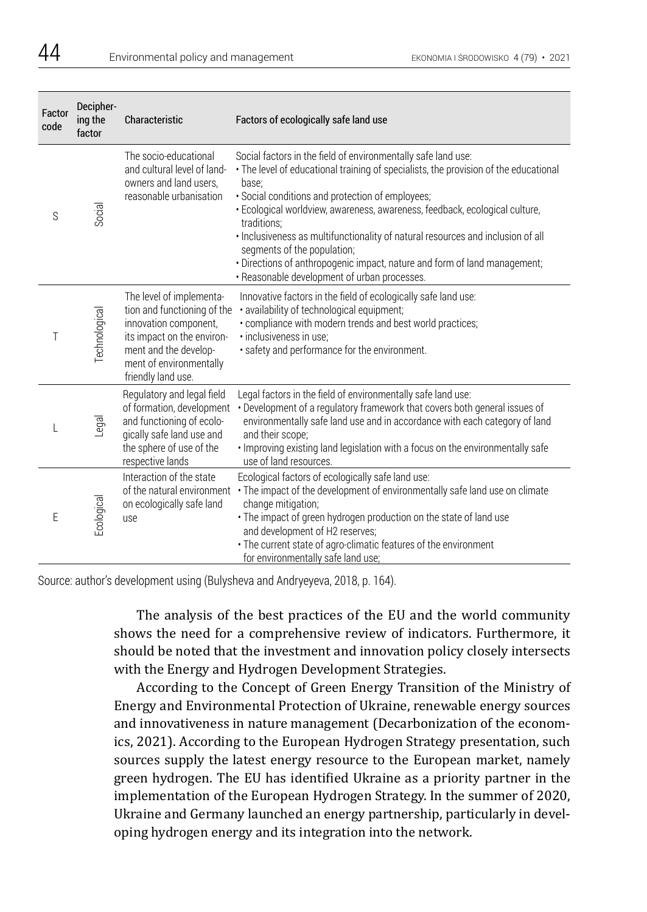| Factor<br>code | Decipher-<br>ing the<br>factor | Characteristic                                                                                                                                                                           | Factors of ecologically safe land use                                                                                                                                                                                                                                                                                                                                                                                                                                                                                                                           |
|----------------|--------------------------------|------------------------------------------------------------------------------------------------------------------------------------------------------------------------------------------|-----------------------------------------------------------------------------------------------------------------------------------------------------------------------------------------------------------------------------------------------------------------------------------------------------------------------------------------------------------------------------------------------------------------------------------------------------------------------------------------------------------------------------------------------------------------|
| S              | Social                         | The socio-educational<br>and cultural level of land-<br>owners and land users,<br>reasonable urbanisation                                                                                | Social factors in the field of environmentally safe land use:<br>• The level of educational training of specialists, the provision of the educational<br>base;<br>· Social conditions and protection of employees;<br>· Ecological worldview, awareness, awareness, feedback, ecological culture,<br>traditions:<br>· Inclusiveness as multifunctionality of natural resources and inclusion of all<br>segments of the population;<br>. Directions of anthropogenic impact, nature and form of land management;<br>. Reasonable development of urban processes. |
| Τ              | Technological                  | The level of implementa-<br>tion and functioning of the<br>innovation component,<br>its impact on the environ-<br>ment and the develop-<br>ment of environmentally<br>friendly land use. | Innovative factors in the field of ecologically safe land use:<br>· availability of technological equipment;<br>• compliance with modern trends and best world practices;<br>· inclusiveness in use:<br>· safety and performance for the environment.                                                                                                                                                                                                                                                                                                           |
|                | Legal                          | Regulatory and legal field<br>of formation, development<br>and functioning of ecolo-<br>gically safe land use and<br>the sphere of use of the<br>respective lands                        | Legal factors in the field of environmentally safe land use:<br>• Development of a regulatory framework that covers both general issues of<br>environmentally safe land use and in accordance with each category of land<br>and their scope;<br>. Improving existing land legislation with a focus on the environmentally safe<br>use of land resources.                                                                                                                                                                                                        |
| E              | Ecological                     | Interaction of the state<br>of the natural environment<br>on ecologically safe land<br>use                                                                                               | Ecological factors of ecologically safe land use:<br>· The impact of the development of environmentally safe land use on climate<br>change mitigation;<br>· The impact of green hydrogen production on the state of land use<br>and development of H2 reserves;<br>· The current state of agro-climatic features of the environment<br>for environmentally safe land use;                                                                                                                                                                                       |

Source: author's development using (Bulysheva and Andryeyeva, 2018, p. 164).

The analysis of the best practices of the EU and the world community shows the need for a comprehensive review of indicators. Furthermore, it should be noted that the investment and innovation policy closely intersects with the Energy and Hydrogen Development Strategies.

According to the Concept of Green Energy Transition of the Ministry of Energy and Environmental Protection of Ukraine, renewable energy sources and innovativeness in nature management (Decarbonization of the economics, 2021). According to the European Hydrogen Strategy presentation, such sources supply the latest energy resource to the European market, namely green hydrogen. The EU has identified Ukraine as a priority partner in the implementation of the European Hydrogen Strategy. In the summer of 2020, Ukraine and Germany launched an energy partnership, particularly in developing hydrogen energy and its integration into the network.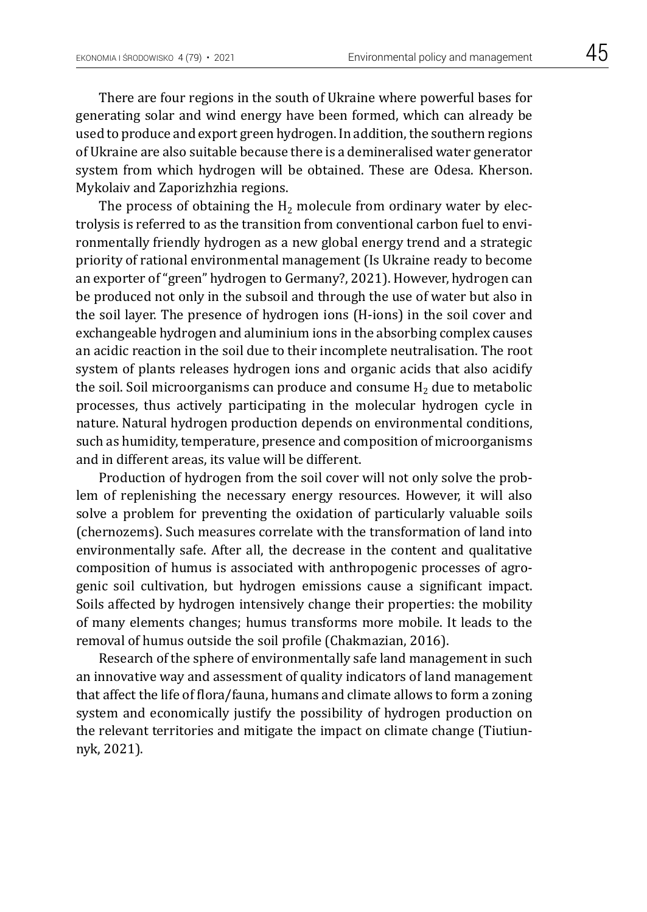There are four regions in the south of Ukraine where powerful bases for generating solar and wind energy have been formed, which can already be used to produce and export green hydrogen. In addition, the southern regions of Ukraine are also suitable because there is a demineralised water generator system from which hydrogen will be obtained. These are Odesa. Kherson. Mykolaiv and Zaporizhzhia regions.

The process of obtaining the  $H<sub>2</sub>$  molecule from ordinary water by electrolysis is referred to as the transition from conventional carbon fuel to environmentally friendly hydrogen as a new global energy trend and a strategic priority of rational environmental management (Is Ukraine ready to become an exporter of "green" hydrogen to Germany?, 2021). However, hydrogen can be produced not only in the subsoil and through the use of water but also in the soil layer. The presence of hydrogen ions (H-ions) in the soil cover and exchangeable hydrogen and aluminium ions in the absorbing complex causes an acidic reaction in the soil due to their incomplete neutralisation. The root system of plants releases hydrogen ions and organic acids that also acidify the soil. Soil microorganisms can produce and consume  $H_2$  due to metabolic processes, thus actively participating in the molecular hydrogen cycle in nature. Natural hydrogen production depends on environmental conditions, such as humidity, temperature, presence and composition of microorganisms and in different areas, its value will be different.

Production of hydrogen from the soil cover will not only solve the problem of replenishing the necessary energy resources. However, it will also solve a problem for preventing the oxidation of particularly valuable soils (chernozems). Such measures correlate with the transformation of land into environmentally safe. After all, the decrease in the content and qualitative composition of humus is associated with anthropogenic processes of agrogenic soil cultivation, but hydrogen emissions cause a significant impact. Soils affected by hydrogen intensively change their properties: the mobility of many elements changes; humus transforms more mobile. It leads to the removal of humus outside the soil profile (Chakmazian, 2016).

Research of the sphere of environmentally safe land management in such an innovative way and assessment of quality indicators of land management that affect the life of flora/fauna, humans and climate allows to form a zoning system and economically justify the possibility of hydrogen production on the relevant territories and mitigate the impact on climate change (Tiutiunnyk, 2021).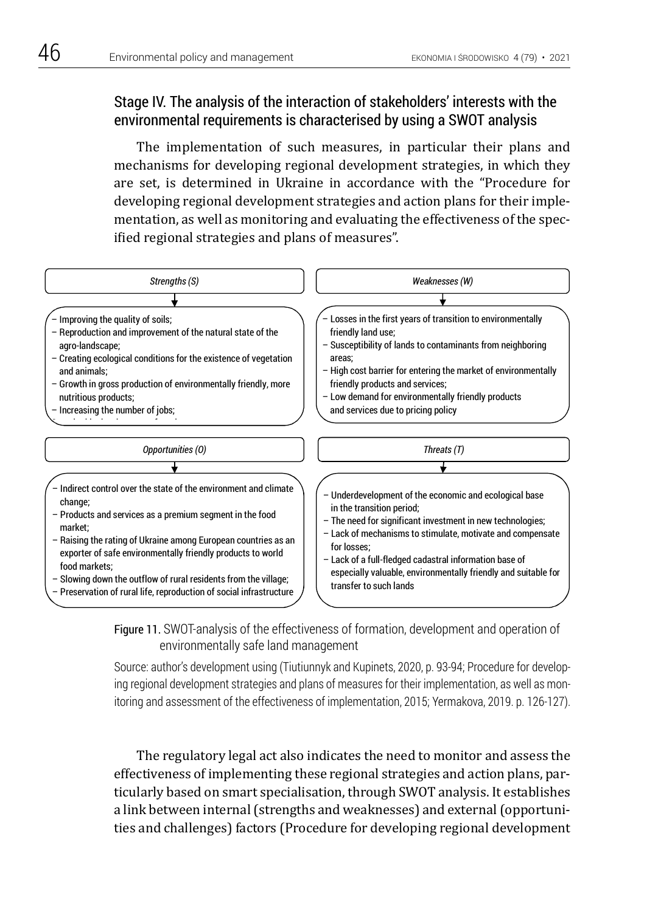# Stage IV. The analysis of the interaction of stakeholders' interests with the environmental requirements is characterised by using a SWOT analysis

The implementation of such measures, in particular their plans and mechanisms for developing regional development strategies, in which they are set, is determined in Ukraine in accordance with the "Procedure for developing regional development strategies and action plans for their implementation, as well as monitoring and evaluating the effectiveness of the specified regional strategies and plans of measures".





Source: author's development using (Tiutiunnyk and Kupinets, 2020, p. 93-94; Procedure for developing regional development strategies and plans of measures for their implementation, as well as monitoring and assessment of the effectiveness of implementation, 2015; Yermakova, 2019. p. 126-127).

> The regulatory legal act also indicates the need to monitor and assess the effectiveness of implementing these regional strategies and action plans, particularly based on smart specialisation, through SWOT analysis. It establishes a link between internal (strengths and weaknesses) and external (opportunities and challenges) factors (Procedure for developing regional development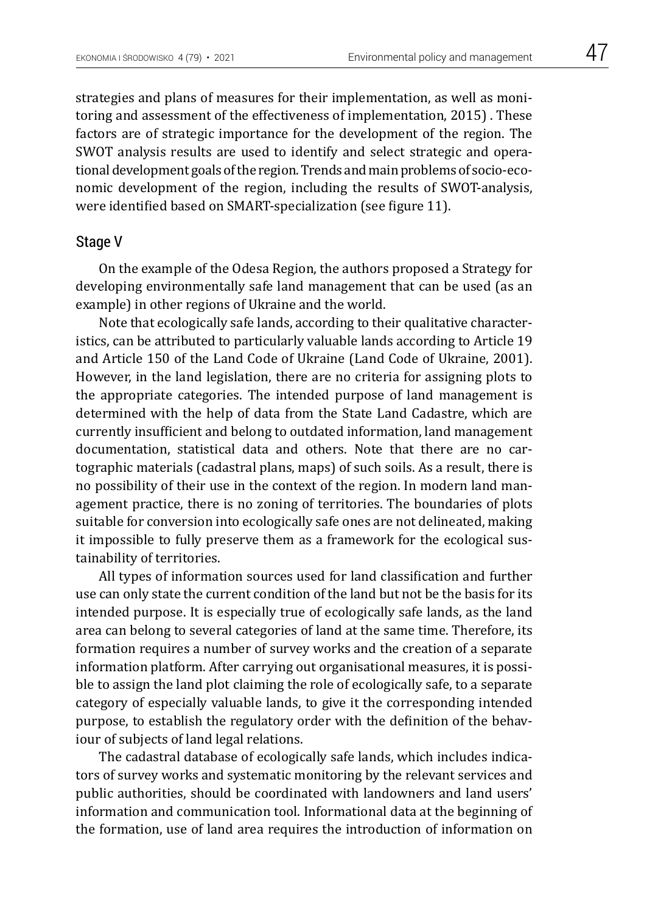strategies and plans of measures for their implementation, as well as monitoring and assessment of the effectiveness of implementation, 2015) . These factors are of strategic importance for the development of the region. The SWOT analysis results are used to identify and select strategic and operational development goals of the region. Trends and main problems of socio-economic development of the region, including the results of SWOT-analysis, were identified based on SMART-specialization (see figure 11).

### Stage V

On the example of the Odesa Region, the authors proposed a Strategy for developing environmentally safe land management that can be used (as an example) in other regions of Ukraine and the world.

Note that ecologically safe lands, according to their qualitative characteristics, can be attributed to particularly valuable lands according to Article 19 and Article 150 of the Land Code of Ukraine (Land Code of Ukraine, 2001). However, in the land legislation, there are no criteria for assigning plots to the appropriate categories. The intended purpose of land management is determined with the help of data from the State Land Cadastre, which are currently insufficient and belong to outdated information, land management documentation, statistical data and others. Note that there are no cartographic materials (cadastral plans, maps) of such soils. As a result, there is no possibility of their use in the context of the region. In modern land management practice, there is no zoning of territories. The boundaries of plots suitable for conversion into ecologically safe ones are not delineated, making it impossible to fully preserve them as a framework for the ecological sustainability of territories.

All types of information sources used for land classification and further use can only state the current condition of the land but not be the basis for its intended purpose. It is especially true of ecologically safe lands, as the land area can belong to several categories of land at the same time. Therefore, its formation requires a number of survey works and the creation of a separate information platform. After carrying out organisational measures, it is possible to assign the land plot claiming the role of ecologically safe, to a separate category of especially valuable lands, to give it the corresponding intended purpose, to establish the regulatory order with the definition of the behaviour of subjects of land legal relations.

The cadastral database of ecologically safe lands, which includes indicators of survey works and systematic monitoring by the relevant services and public authorities, should be coordinated with landowners and land users' information and communication tool. Informational data at the beginning of the formation, use of land area requires the introduction of information on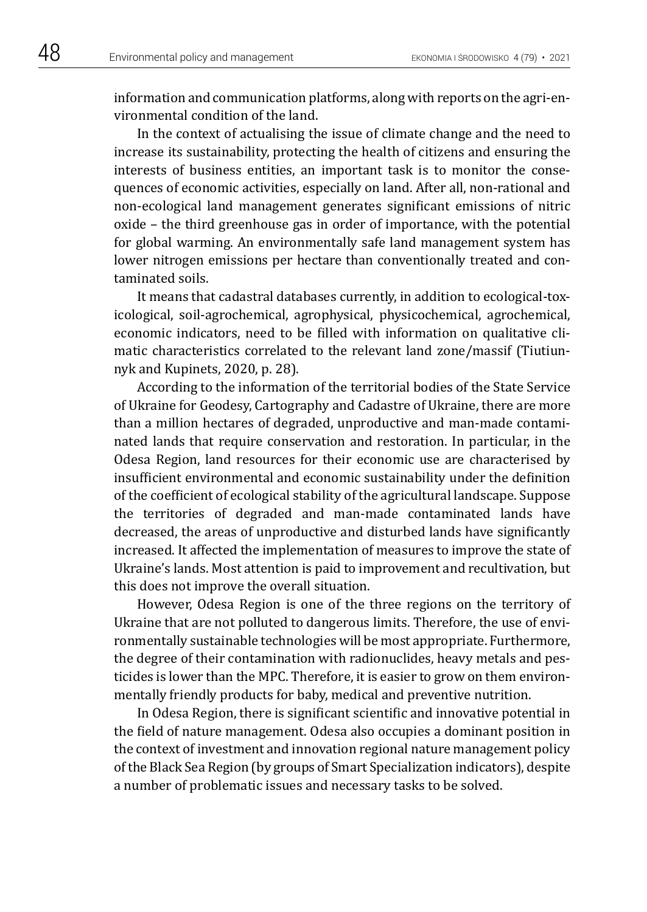information and communication platforms, along with reports on the agri-environmental condition of the land.

In the context of actualising the issue of climate change and the need to increase its sustainability, protecting the health of citizens and ensuring the interests of business entities, an important task is to monitor the consequences of economic activities, especially on land. After all, non-rational and non-ecological land management generates significant emissions of nitric oxide – the third greenhouse gas in order of importance, with the potential for global warming. An environmentally safe land management system has lower nitrogen emissions per hectare than conventionally treated and contaminated soils.

It means that cadastral databases currently, in addition to ecological-toxicological, soil-agrochemical, agrophysical, physicochemical, agrochemical, economic indicators, need to be filled with information on qualitative climatic characteristics correlated to the relevant land zone/massif (Tiutiunnyk and Kupinets, 2020, p. 28).

According to the information of the territorial bodies of the State Service of Ukraine for Geodesy, Cartography and Cadastre of Ukraine, there are more than a million hectares of degraded, unproductive and man-made contaminated lands that require conservation and restoration. In particular, in the Odesa Region, land resources for their economic use are characterised by insufficient environmental and economic sustainability under the definition of the coefficient of ecological stability of the agricultural landscape. Suppose the territories of degraded and man-made contaminated lands have decreased, the areas of unproductive and disturbed lands have significantly increased. It affected the implementation of measures to improve the state of Ukraine's lands. Most attention is paid to improvement and recultivation, but this does not improve the overall situation.

However, Odesa Region is one of the three regions on the territory of Ukraine that are not polluted to dangerous limits. Therefore, the use of environmentally sustainable technologies will be most appropriate. Furthermore, the degree of their contamination with radionuclides, heavy metals and pesticides is lower than the MPC. Therefore, it is easier to grow on them environmentally friendly products for baby, medical and preventive nutrition.

In Odesa Region, there is significant scientific and innovative potential in the field of nature management. Odesa also occupies a dominant position in the context of investment and innovation regional nature management policy of the Black Sea Region (by groups of Smart Specialization indicators), despite a number of problematic issues and necessary tasks to be solved.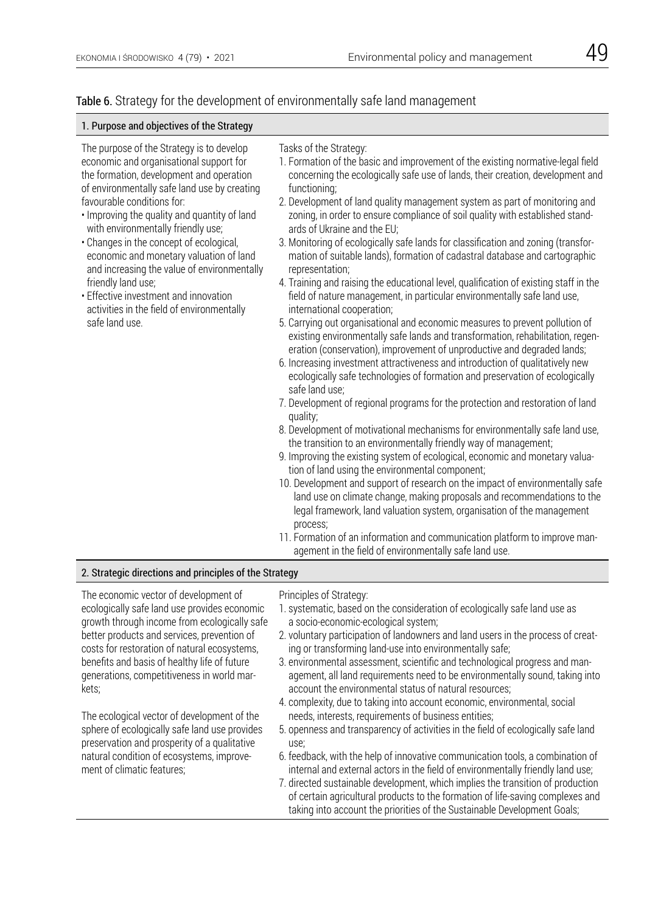### Table 6. Strategy for the development of environmentally safe land management

#### 1. Purpose and objectives of the Strategy

The purpose of the Strategy is to develop economic and organisational support for the formation, development and operation of environmentally safe land use by creating favourable conditions for:

- Improving the quality and quantity of land with environmentally friendly use;
- Changes in the concept of ecological, economic and monetary valuation of land and increasing the value of environmentally friendly land use;
- Effective investment and innovation activities in the field of environmentally safe land use.

#### Tasks of the Strategy:

- 1. Formation of the basic and improvement of the existing normative-legal field concerning the ecologically safe use of lands, their creation, development and functioning;
- 2. Development of land quality management system as part of monitoring and zoning, in order to ensure compliance of soil quality with established standards of Ukraine and the EU;
- 3. Monitoring of ecologically safe lands for classification and zoning (transformation of suitable lands), formation of cadastral database and cartographic representation;
- 4. Training and raising the educational level, qualification of existing staff in the field of nature management, in particular environmentally safe land use, international cooperation;
- 5. Carrying out organisational and economic measures to prevent pollution of existing environmentally safe lands and transformation, rehabilitation, regeneration (conservation), improvement of unproductive and degraded lands;
- 6. Increasing investment attractiveness and introduction of qualitatively new ecologically safe technologies of formation and preservation of ecologically safe land use;
- 7. Development of regional programs for the protection and restoration of land quality;
- 8. Development of motivational mechanisms for environmentally safe land use, the transition to an environmentally friendly way of management;
- 9. Improving the existing system of ecological, economic and monetary valuation of land using the environmental component;
- 10. Development and support of research on the impact of environmentally safe land use on climate change, making proposals and recommendations to the legal framework, land valuation system, organisation of the management process;
- 11. Formation of an information and communication platform to improve management in the field of environmentally safe land use.

#### 2. Strategic directions and principles of the Strategy

The economic vector of development of ecologically safe land use provides economic growth through income from ecologically safe better products and services, prevention of costs for restoration of natural ecosystems, benefits and basis of healthy life of future generations, competitiveness in world markets;

The ecological vector of development of the sphere of ecologically safe land use provides preservation and prosperity of a qualitative natural condition of ecosystems, improvement of climatic features;

Principles of Strategy:

- 1. systematic, based on the consideration of ecologically safe land use as a socio-economic-ecological system;
- 2. voluntary participation of landowners and land users in the process of creating or transforming land-use into environmentally safe;
- 3. environmental assessment, scientific and technological progress and management, all land requirements need to be environmentally sound, taking into account the environmental status of natural resources;
- 4. complexity, due to taking into account economic, environmental, social needs, interests, requirements of business entities;
- 5. openness and transparency of activities in the field of ecologically safe land use;
- 6. feedback, with the help of innovative communication tools, a combination of internal and external actors in the field of environmentally friendly land use;
- 7. directed sustainable development, which implies the transition of production of certain agricultural products to the formation of life-saving complexes and taking into account the priorities of the Sustainable Development Goals;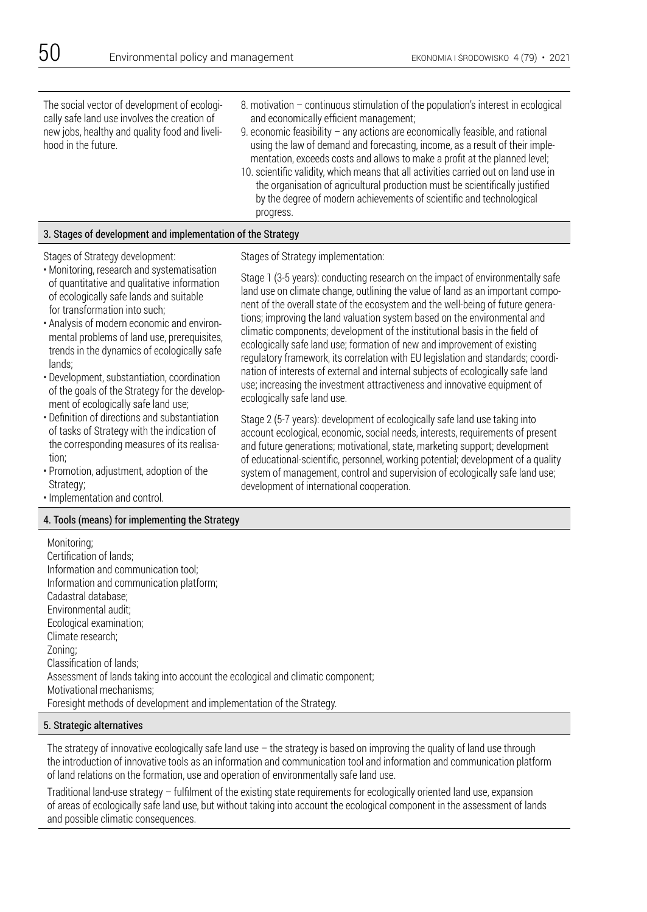The social vector of development of ecologically safe land use involves the creation of new jobs, healthy and quality food and livelihood in the future.

- 8. motivation continuous stimulation of the population's interest in ecological and economically efficient management;
- 9. economic feasibility any actions are economically feasible, and rational using the law of demand and forecasting, income, as a result of their implementation, exceeds costs and allows to make a profit at the planned level;
- 10. scientific validity, which means that all activities carried out on land use in the organisation of agricultural production must be scientifically justified by the degree of modern achievements of scientific and technological progress.

#### 3. Stages of development and implementation of the Strategy

#### Stages of Strategy development:

- Monitoring, research and systematisation of quantitative and qualitative information of ecologically safe lands and suitable for transformation into such;
- Analysis of modern economic and environmental problems of land use, prerequisites, trends in the dynamics of ecologically safe lands;
- Development, substantiation, coordination of the goals of the Strategy for the development of ecologically safe land use;
- Definition of directions and substantiation of tasks of Strategy with the indication of the corresponding measures of its realisation;
- Promotion, adjustment, adoption of the Strategy;
- Implementation and control.

#### 4. Tools (means) for implementing the Strategy

Stages of Strategy implementation:

Stage 1 (3-5 years): conducting research on the impact of environmentally safe land use on climate change, outlining the value of land as an important component of the overall state of the ecosystem and the well-being of future generations; improving the land valuation system based on the environmental and climatic components; development of the institutional basis in the field of ecologically safe land use; formation of new and improvement of existing regulatory framework, its correlation with EU legislation and standards; coordination of interests of external and internal subjects of ecologically safe land use; increasing the investment attractiveness and innovative equipment of ecologically safe land use.

Stage 2 (5-7 years): development of ecologically safe land use taking into account ecological, economic, social needs, interests, requirements of present and future generations; motivational, state, marketing support; development of educational-scientific, personnel, working potential; development of a quality system of management, control and supervision of ecologically safe land use; development of international cooperation.

Monitoring; Certification of lands; Information and communication tool; Information and communication platform; Cadastral database; Environmental audit; Ecological examination; Climate research; Zoning; Classification of lands; Assessment of lands taking into account the ecological and climatic component; Motivational mechanisms; Foresight methods of development and implementation of the Strategy.

#### 5. Strategic alternatives

The strategy of innovative ecologically safe land use – the strategy is based on improving the quality of land use through the introduction of innovative tools as an information and communication tool and information and communication platform of land relations on the formation, use and operation of environmentally safe land use.

Traditional land-use strategy – fulfilment of the existing state requirements for ecologically oriented land use, expansion of areas of ecologically safe land use, but without taking into account the ecological component in the assessment of lands and possible climatic consequences.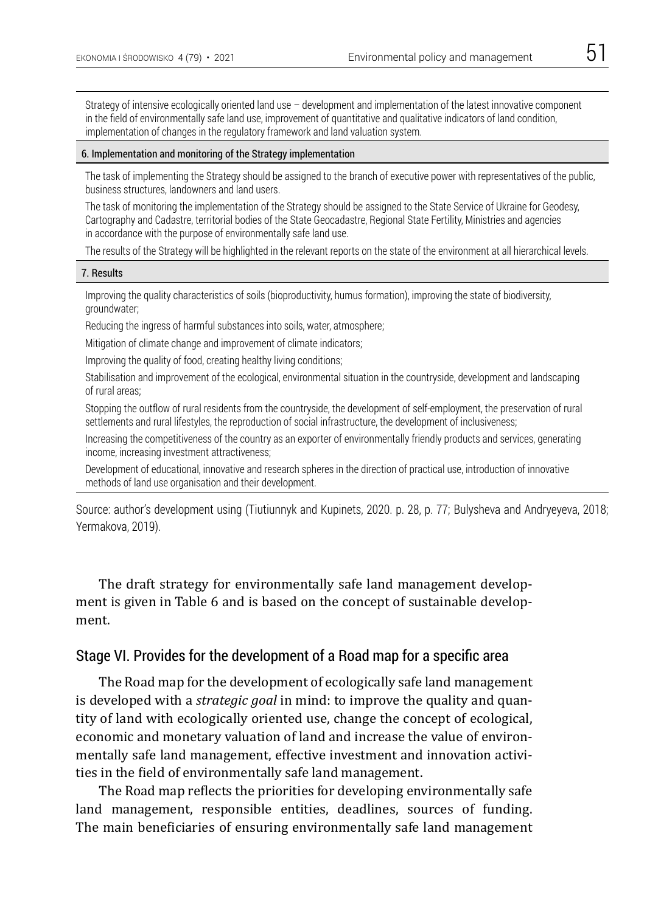Strategy of intensive ecologically oriented land use – development and implementation of the latest innovative component in the field of environmentally safe land use, improvement of quantitative and qualitative indicators of land condition, implementation of changes in the regulatory framework and land valuation system.

#### 6. Implementation and monitoring of the Strategy implementation

The task of implementing the Strategy should be assigned to the branch of executive power with representatives of the public, business structures, landowners and land users.

The task of monitoring the implementation of the Strategy should be assigned to the State Service of Ukraine for Geodesy, Cartography and Cadastre, territorial bodies of the State Geocadastre, Regional State Fertility, Ministries and agencies in accordance with the purpose of environmentally safe land use.

The results of the Strategy will be highlighted in the relevant reports on the state of the environment at all hierarchical levels.

#### 7. Results

Improving the quality characteristics of soils (bioproductivity, humus formation), improving the state of biodiversity, groundwater;

Reducing the ingress of harmful substances into soils, water, atmosphere;

Mitigation of climate change and improvement of climate indicators;

Improving the quality of food, creating healthy living conditions;

Stabilisation and improvement of the ecological, environmental situation in the countryside, development and landscaping of rural areas;

Stopping the outflow of rural residents from the countryside, the development of self-employment, the preservation of rural settlements and rural lifestyles, the reproduction of social infrastructure, the development of inclusiveness;

Increasing the competitiveness of the country as an exporter of environmentally friendly products and services, generating income, increasing investment attractiveness;

Development of educational, innovative and research spheres in the direction of practical use, introduction of innovative methods of land use organisation and their development.

Source: author's development using (Tiutiunnyk and Kupinets, 2020. p. 28, p. 77; Bulysheva and Andryeyeva, 2018; Yermakova, 2019).

The draft strategy for environmentally safe land management development is given in Table 6 and is based on the concept of sustainable development.

### Stage VI. Provides for the development of a Road map for a specific area

The Road map for the development of ecologically safe land management is developed with a *strategic goal* in mind: to improve the quality and quantity of land with ecologically oriented use, change the concept of ecological, economic and monetary valuation of land and increase the value of environmentally safe land management, effective investment and innovation activities in the field of environmentally safe land management.

The Road map reflects the priorities for developing environmentally safe land management, responsible entities, deadlines, sources of funding. The main beneficiaries of ensuring environmentally safe land management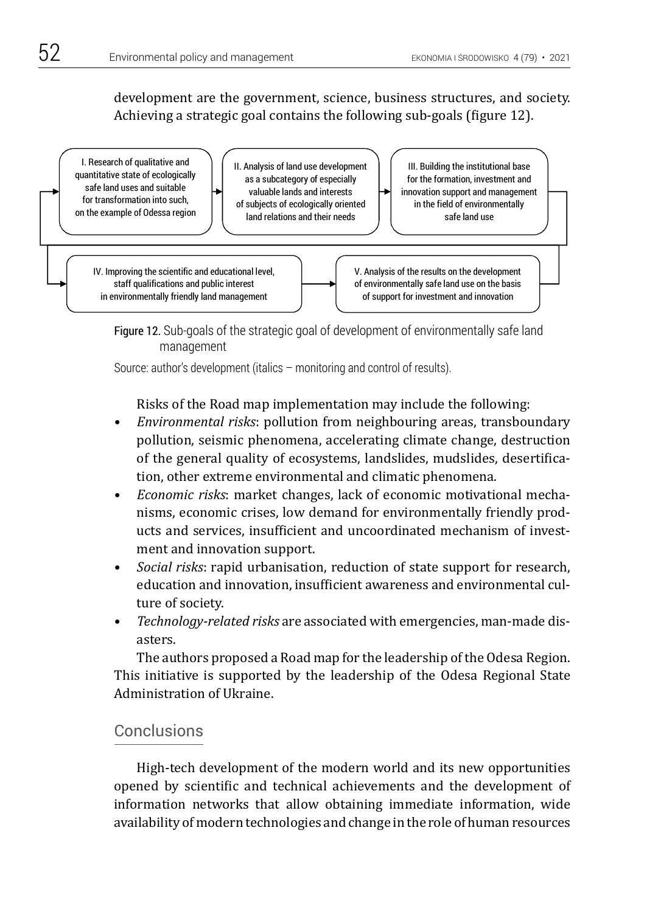development are the government, science, business structures, and society. Achieving a strategic goal contains the following sub-goals (figure 12).



Figure 12. Sub-goals of the strategic goal of development of environmentally safe land management Figure 12. Sub-goals of the strategic goal of development of environmentally safe land

Source: author's development (italics – monitoring and control of results).

Risks of the Road map implementation may include the following:

- *• Environmental risks*: pollution from neighbouring areas, transboundary pollution, seismic phenomena, accelerating climate change, destruction of the general quality of ecosystems, landslides, mudslides, desertification, other extreme environmental and climatic phenomena.
- *• Economic risks*: market changes, lack of economic motivational mechanisms, economic crises, low demand for environmentally friendly products and services, insufficient and uncoordinated mechanism of investment and innovation support.
- *• Social risks*: rapid urbanisation, reduction of state support for research, education and innovation, insufficient awareness and environmental culture of society.
- *• Technology-related risks* are associated with emergencies, man-made disasters.

The authors proposed a Road map for the leadership of the Odesa Region. This initiative is supported by the leadership of the Odesa Regional State Administration of Ukraine.

## **Conclusions**

High-tech development of the modern world and its new opportunities opened by scientific and technical achievements and the development of information networks that allow obtaining immediate information, wide availability of modern technologies and change in the role of human resources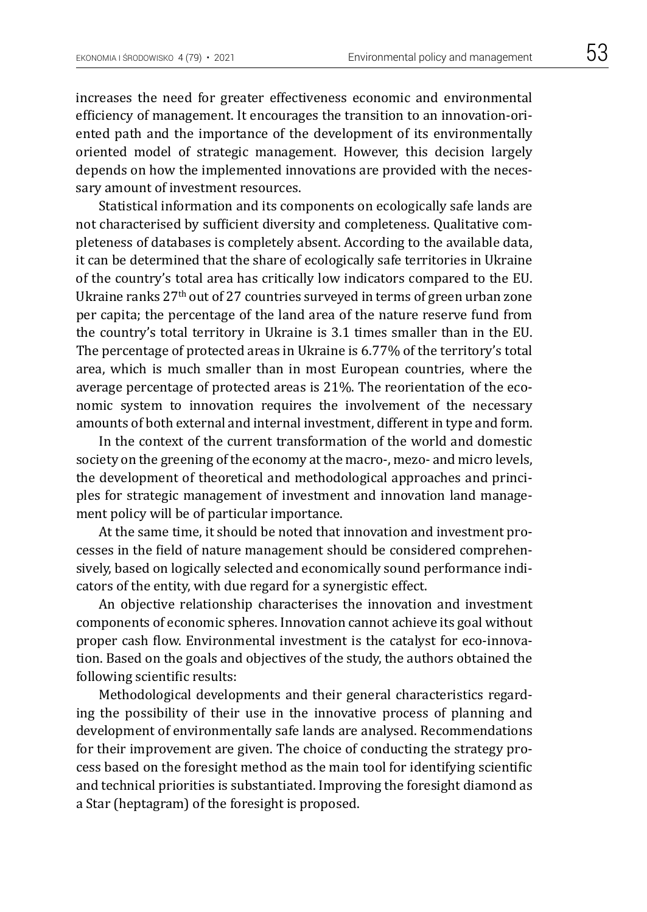increases the need for greater effectiveness economic and environmental efficiency of management. It encourages the transition to an innovation-oriented path and the importance of the development of its environmentally oriented model of strategic management. However, this decision largely depends on how the implemented innovations are provided with the necessary amount of investment resources.

Statistical information and its components on ecologically safe lands are not characterised by sufficient diversity and completeness. Qualitative completeness of databases is completely absent. According to the available data, it can be determined that the share of ecologically safe territories in Ukraine of the country's total area has critically low indicators compared to the EU. Ukraine ranks 27th out of 27 countries surveyed in terms of green urban zone per capita; the percentage of the land area of the nature reserve fund from the country's total territory in Ukraine is 3.1 times smaller than in the EU. The percentage of protected areas in Ukraine is 6.77% of the territory's total area, which is much smaller than in most European countries, where the average percentage of protected areas is 21%. The reorientation of the economic system to innovation requires the involvement of the necessary amounts of both external and internal investment, different in type and form.

In the context of the current transformation of the world and domestic society on the greening of the economy at the macro-, mezo- and micro levels, the development of theoretical and methodological approaches and principles for strategic management of investment and innovation land management policy will be of particular importance.

At the same time, it should be noted that innovation and investment processes in the field of nature management should be considered comprehensively, based on logically selected and economically sound performance indicators of the entity, with due regard for a synergistic effect.

An objective relationship characterises the innovation and investment components of economic spheres. Innovation cannot achieve its goal without proper cash flow. Environmental investment is the catalyst for eco-innovation. Based on the goals and objectives of the study, the authors obtained the following scientific results:

Methodological developments and their general characteristics regarding the possibility of their use in the innovative process of planning and development of environmentally safe lands are analysed. Recommendations for their improvement are given. The choice of conducting the strategy process based on the foresight method as the main tool for identifying scientific and technical priorities is substantiated. Improving the foresight diamond as a Star (heptagram) of the foresight is proposed.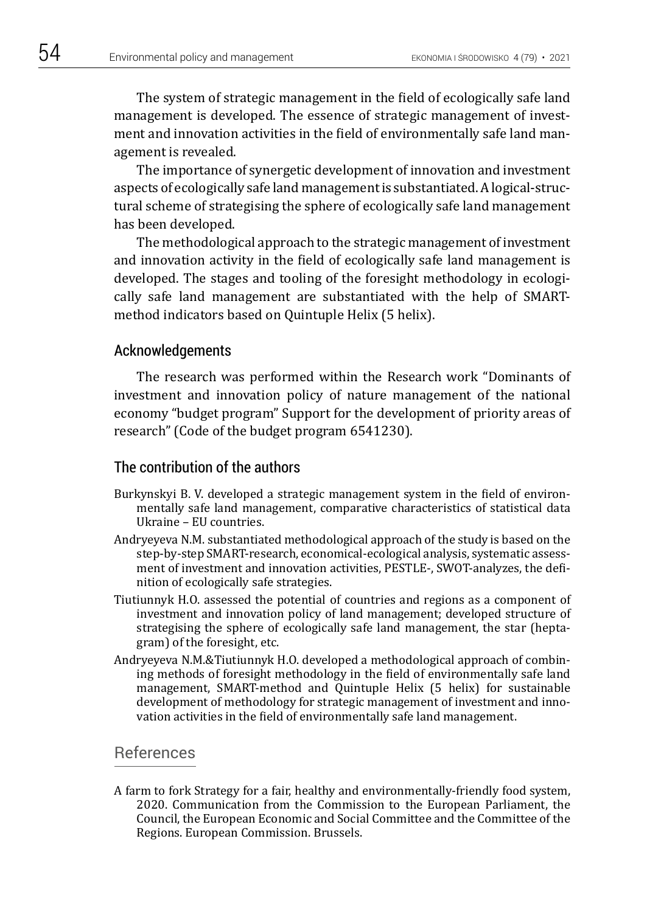The system of strategic management in the field of ecologically safe land management is developed. The essence of strategic management of investment and innovation activities in the field of environmentally safe land management is revealed.

The importance of synergetic development of innovation and investment aspects of ecologically safe land management is substantiated. A logical-structural scheme of strategising the sphere of ecologically safe land management has been developed.

The methodological approach to the strategic management of investment and innovation activity in the field of ecologically safe land management is developed. The stages and tooling of the foresight methodology in ecologically safe land management are substantiated with the help of SMARTmethod indicators based on Quintuple Helix (5 helix).

### Acknowledgements

The research was performed within the Research work "Dominants of investment and innovation policy of nature management of the national economy "budget program" Support for the development of priority areas of research" (Code of the budget program 6541230).

# The contribution of the authors

- Burkynskyi B. V. developed a strategic management system in the field of environmentally safe land management, comparative characteristics of statistical data Ukraine – EU countries.
- Andryeyeva N.M. substantiated methodological approach of the study is based on the step-by-step SMART-research, economical-ecological analysis, systematic assessment of investment and innovation activities, PESTLE-, SWOT-analyzes, the definition of ecologically safe strategies.
- Tiutiunnyk H.O. assessed the potential of countries and regions as a component of investment and innovation policy of land management; developed structure of strategising the sphere of ecologically safe land management, the star (heptagram) of the foresight, etc.
- Andryeyeva N.M.&Tiutiunnyk H.O. developed a methodological approach of combining methods of foresight methodology in the field of environmentally safe land management, SMART-method and Quintuple Helix (5 helix) for sustainable development of methodology for strategic management of investment and innovation activities in the field of environmentally safe land management.

### References

A farm to fork Strategy for a fair, healthy and environmentally-friendly food system, 2020. Communication from the Commission to the European Parliament, the Council, the European Economic and Social Committee and the Committee of the Regions. European Commission. Brussels.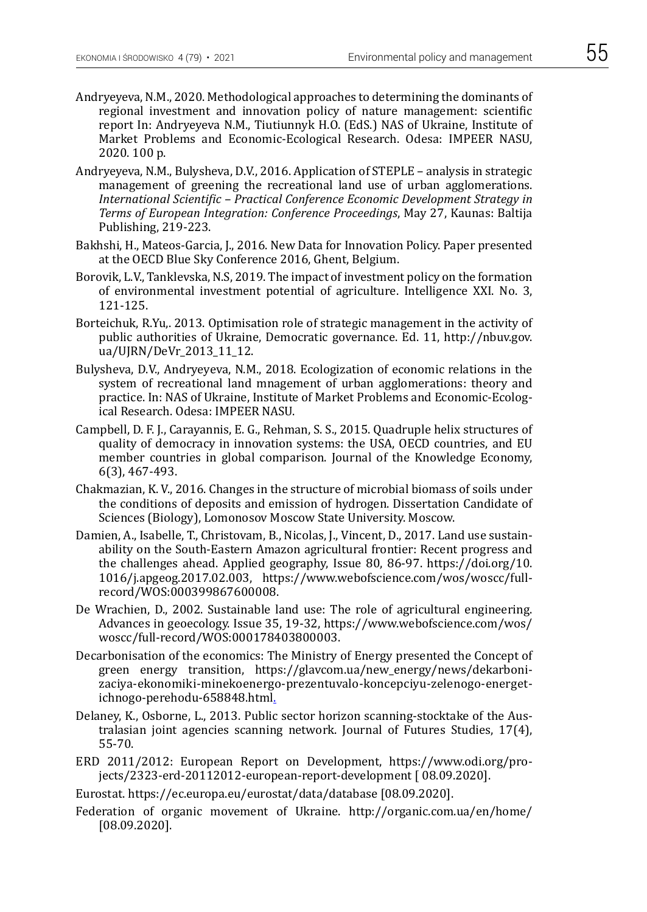- Andryeyeva, N.M., 2020. Methodological approaches to determining the dominants of regional investment and innovation policy of nature management: scientific report In: Andryeyeva N.M., Tiutiunnyk H.O. (EdS.) NAS of Ukraine, Institute of Market Problems and Economic-Ecological Research. Odesa: IMPEER NASU, 2020. 100 p.
- Andryeyeva, N.M., Bulysheva, D.V., 2016. Application of STEPLE analysis in strategic management of greening the recreational land use of urban agglomerations. *International Scientific – Practical Conference Economic Development Strategy in Terms of European Integration: Conference Proceedings*, May 27, Kaunas: Baltija Publishing, 219-223.
- Bakhshi, H., Mateos-Garcia, J., 2016. New Data for Innovation Policy. Paper presented at the OECD Blue Sky Conference 2016, Ghent, Belgium.
- Borovik, L.V., Tanklevska, N.S, 2019. The impact of investment policy on the formation of environmental investment potential of agriculture. Intelligence XXI. No. 3, 121-125.
- Borteichuk, R.Yu,. 2013. Optimisation role of strategic management in the activity of public authorities of Ukraine, Democratic governance. Ed. 11, http://nbuv.gov. ua/UJRN/DeVr 2013 11 12.
- Bulysheva, D.V., Andryeyeva, N.M., 2018. Ecologization of economic relations in the system of recreational land mnagement of urban agglomerations: theory and practice. In: NAS of Ukraine, Institute of Market Problems and Economic-Ecological Research. Odesa: IMPEER NASU.
- Campbell, D. F. J., Carayannis, E. G., Rehman, S. S., 2015. Quadruple helix structures of quality of democracy in innovation systems: the USA, OECD countries, and EU member countries in global comparison. Journal of the Knowledge Economy, 6(3), 467-493.
- Chakmazian, K. V., 2016. Changes in the structure of microbial biomass of soils under the conditions of deposits and emission of hydrogen. Dissertation Candidate of Sciences (Biology), Lomonosov Moscow State University. Moscow.
- Damien, A., Isabelle, T., Christovam, B., Nicolas, J., Vincent, D., 2017. Land use sustainability on the South-Eastern Amazon agricultural frontier: Recent progress and the challenges ahead. Applied geography, Issue 80, 86-97. https://doi.org/10. 1016/j.apgeog.2017.02.003, https://www.webofscience.com/wos/woscc/fullrecord/WOS:000399867600008.
- De Wrachien, D., 2002. Sustainable land use: The role of agricultural engineering. Advances in geoecology. Issue 35, 19-32, https://www.webofscience.com/wos/ woscc/full-record/WOS:000178403800003.
- Decarbonisation of the economics: The Ministry of Energy presented the Concept of green energy transition, https://glavcom.ua/new\_energy/news/dekarbonizaciya-ekonomiki-minekoenergo-prezentuvalo-koncepciyu-zelenogo-energetichnogo-perehodu-658848.html.
- Delaney, K., Osborne, L., 2013. Public sector horizon scanning-stocktake of the Australasian joint agencies scanning network. Journal of Futures Studies, 17(4), 55-70.
- ERD 2011/2012: European Report on Development, https://www.odi.org/projects/2323-erd-20112012-european-report-development [ 08.09.2020].
- Eurostat. https://ec.europa.eu/eurostat/data/database [08.09.2020].
- Federation of organic movement of Ukraine. http://organic.com.ua/en/home/ [08.09.2020].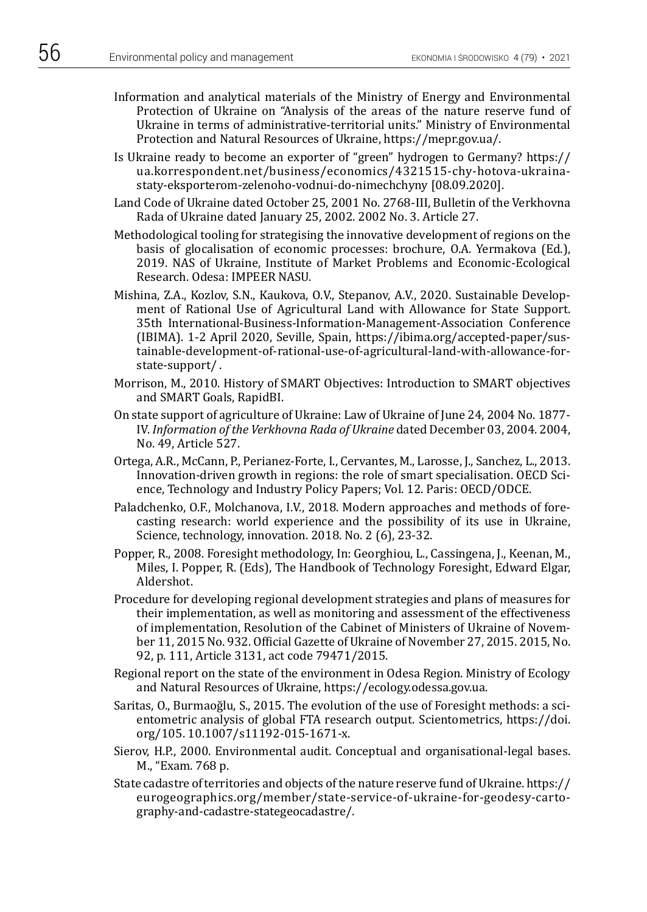- Information and analytical materials of the Ministry of Energy and Environmental Protection of Ukraine on "Analysis of the areas of the nature reserve fund of Ukraine in terms of administrative-territorial units." Ministry of Environmental Protection and Natural Resources of Ukraine, https://mepr.gov.ua/.
- Is Ukraine ready to become an exporter of "green" hydrogen to Germany? https:// ua.korrespondent.net/business/economics/4321515-chy-hotova-ukrainastaty-eksporterom-zelenoho-vodnui-do-nimechchyny [08.09.2020].
- Land Code of Ukraine dated October 25, 2001 No. 2768-ІІІ, Bulletin of the Verkhovna Rada of Ukraine dated January 25, 2002. 2002 No. 3. Article 27.
- Methodological tooling for strategising the innovative development of regions on the basis of glocalisation of economic processes: brochure, O.A. Yermakova (Ed.), 2019. NAS of Ukraine, Institute of Market Problems and Economic-Ecological Research. Odesa: IMPEER NASU.
- Mishina, Z.A., Kozlov, S.N., Kaukova, O.V., Stepanov, A.V., 2020. Sustainable Development of Rational Use of Agricultural Land with Allowance for State Support. 35th International-Business-Information-Management-Association Conference (IBIMA). 1-2 April 2020, Seville, Spain, https://ibima.org/accepted-paper/sustainable-development-of-rational-use-of-agricultural-land-with-allowance-forstate-support/ .
- Morrison, M., 2010. History of SMART Objectives: Introduction to SMART objectives and SMART Goals, RapidBI.
- On state support of agriculture of Ukraine: Law of Ukraine of June 24, 2004 No. 1877- IV. *Information of the Verkhovna Rada of Ukraine* dated December 03, 2004. 2004, No. 49, Article 527.
- Ortega, A.R., McCann, P., Perianez-Forte, I., Cervantes, M., Larosse, J., Sanchez, L., 2013. Innovation-driven growth in regions: the role of smart specialisation. OECD Science, Technology and Industry Policy Papers; Vol. 12. Paris: OECD/ODCE.
- Paladchenko, O.F., Molchanova, I.V., 2018. Modern approaches and methods of forecasting research: world experience and the possibility of its use in Ukraine, Science, technology, innovation. 2018. No. 2 (6), 23-32.
- Popper, R., 2008. Foresight methodology, In: Georghiou, L., Cassingena, J., Keenan, M., Miles, I. Popper, R. (Eds), The Handbook of Technology Foresight, Edward Elgar, Aldershot.
- Procedure for developing regional development strategies and plans of measures for their implementation, as well as monitoring and assessment of the effectiveness of implementation, Resolution of the Cabinet of Ministers of Ukraine of November 11, 2015 No. 932. Official Gazette of Ukraine of November 27, 2015. 2015, No. 92, p. 111, Article 3131, act code 79471/2015.
- Regional report on the state of the environment in Odesa Region. Ministry of Ecology and Natural Resources of Ukraine, https://ecology.odessa.gov.ua.
- Saritas, O., Burmaoğlu, S., 2015. The evolution of the use of Foresight methods: a scientometric analysis of global FTA research output. Scientometrics, https://doi. org/105. 10.1007/s11192-015-1671-x.
- Sierov, H.P., 2000. Environmental audit. Conceptual and organisational-legal bases. M., "Exam. 768 p.
- State cadastre of territories and objects of the nature reserve fund of Ukraine. https:// eurogeographics.org/member/state-service-of-ukraine-for-geodesy-cartography-and-cadastre-stategeocadastre/.